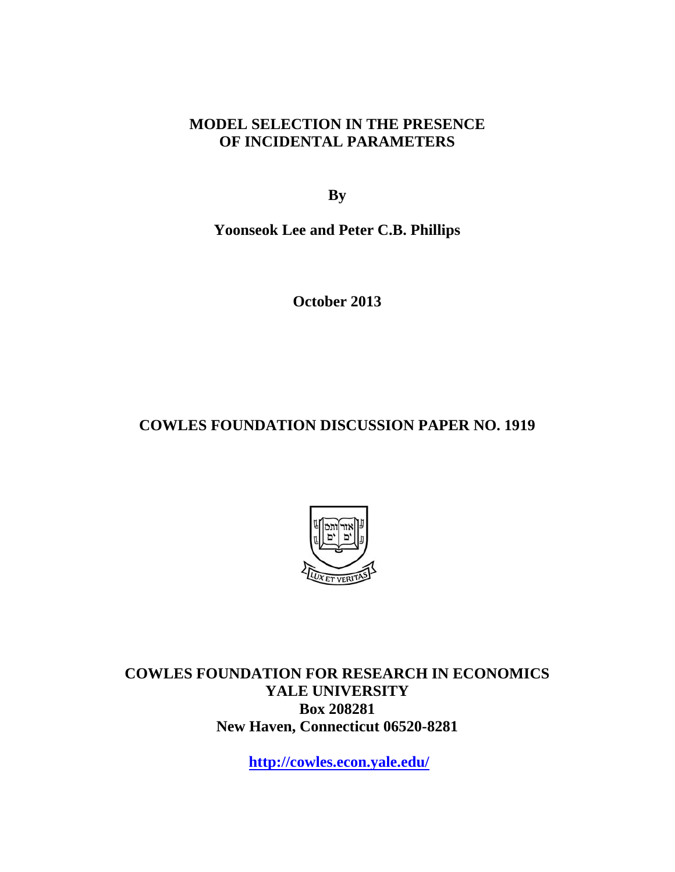# **MODEL SELECTION IN THE PRESENCE OF INCIDENTAL PARAMETERS**

**By** 

**Yoonseok Lee and Peter C.B. Phillips** 

**October 2013** 

# **COWLES FOUNDATION DISCUSSION PAPER NO. 1919**



**COWLES FOUNDATION FOR RESEARCH IN ECONOMICS YALE UNIVERSITY Box 208281 New Haven, Connecticut 06520-8281** 

**http://cowles.econ.yale.edu/**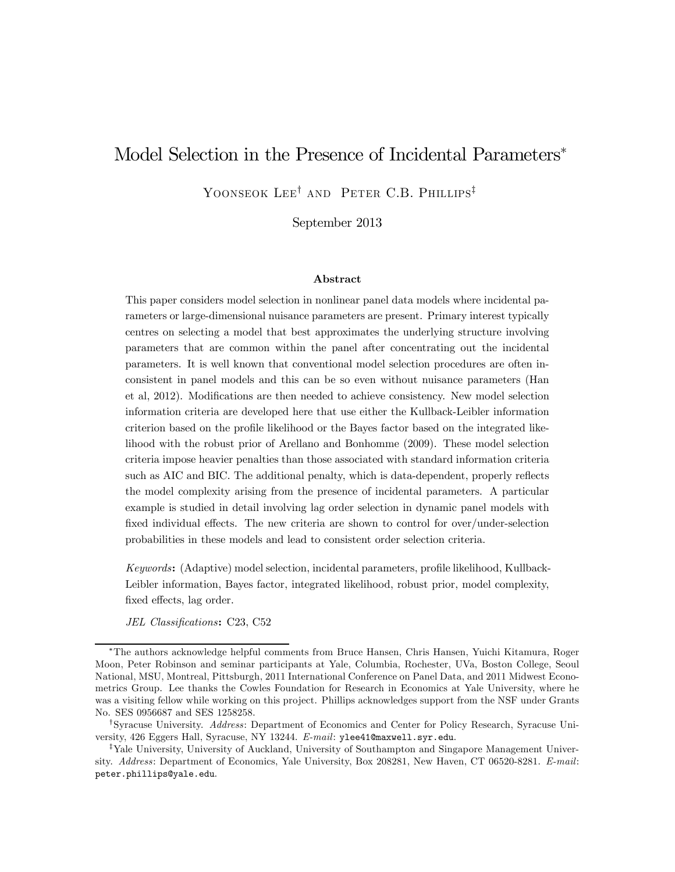# Model Selection in the Presence of Incidental Parameters<sup>∗</sup>

YOONSEOK LEE<sup>†</sup> AND PETER C.B. PHILLIPS<sup>‡</sup>

September 2013

#### Abstract

This paper considers model selection in nonlinear panel data models where incidental parameters or large-dimensional nuisance parameters are present. Primary interest typically centres on selecting a model that best approximates the underlying structure involving parameters that are common within the panel after concentrating out the incidental parameters. It is well known that conventional model selection procedures are often inconsistent in panel models and this can be so even without nuisance parameters (Han et al, 2012). Modifications are then needed to achieve consistency. New model selection information criteria are developed here that use either the Kullback-Leibler information criterion based on the profile likelihood or the Bayes factor based on the integrated likelihood with the robust prior of Arellano and Bonhomme (2009). These model selection criteria impose heavier penalties than those associated with standard information criteria such as AIC and BIC. The additional penalty, which is data-dependent, properly reflects the model complexity arising from the presence of incidental parameters. A particular example is studied in detail involving lag order selection in dynamic panel models with fixed individual effects. The new criteria are shown to control for over/under-selection probabilities in these models and lead to consistent order selection criteria.

Keywords: (Adaptive) model selection, incidental parameters, profile likelihood, Kullback-Leibler information, Bayes factor, integrated likelihood, robust prior, model complexity, fixed effects, lag order.

JEL Classifications: C23, C52

<sup>∗</sup>The authors acknowledge helpful comments from Bruce Hansen, Chris Hansen, Yuichi Kitamura, Roger Moon, Peter Robinson and seminar participants at Yale, Columbia, Rochester, UVa, Boston College, Seoul National, MSU, Montreal, Pittsburgh, 2011 International Conference on Panel Data, and 2011 Midwest Econometrics Group. Lee thanks the Cowles Foundation for Research in Economics at Yale University, where he was a visiting fellow while working on this project. Phillips acknowledges support from the NSF under Grants No. SES 0956687 and SES 1258258.

<sup>†</sup>Syracuse University. Address: Department of Economics and Center for Policy Research, Syracuse University, 426 Eggers Hall, Syracuse, NY 13244. E-mail: ylee41@maxwell.syr.edu.

<sup>‡</sup>Yale University, University of Auckland, University of Southampton and Singapore Management University. Address: Department of Economics, Yale University, Box 208281, New Haven, CT 06520-8281. E-mail: peter.phillips@yale.edu.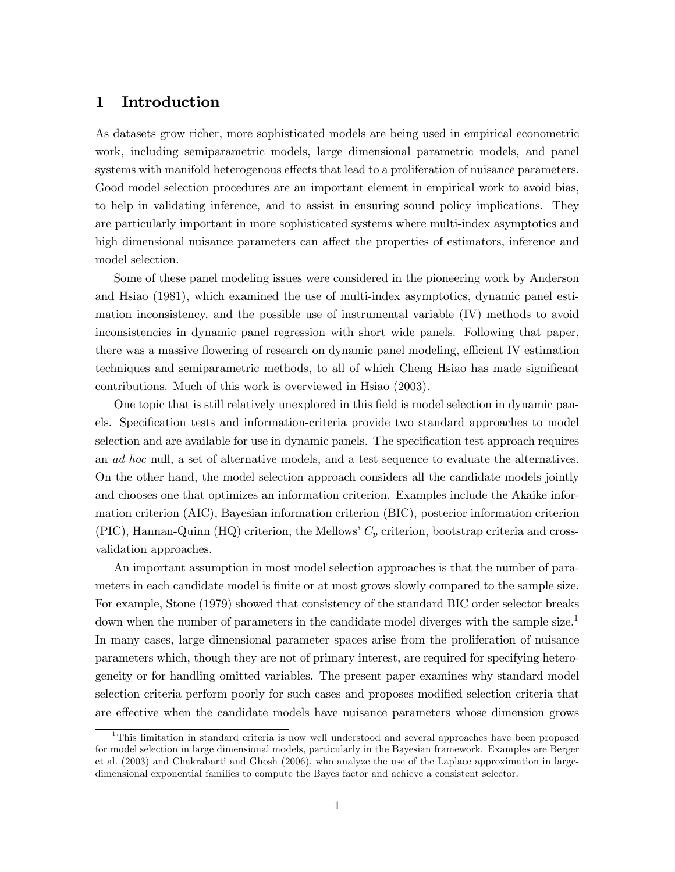### 1 Introduction

As datasets grow richer, more sophisticated models are being used in empirical econometric work, including semiparametric models, large dimensional parametric models, and panel systems with manifold heterogenous effects that lead to a proliferation of nuisance parameters. Good model selection procedures are an important element in empirical work to avoid bias, to help in validating inference, and to assist in ensuring sound policy implications. They are particularly important in more sophisticated systems where multi-index asymptotics and high dimensional nuisance parameters can affect the properties of estimators, inference and model selection.

Some of these panel modeling issues were considered in the pioneering work by Anderson and Hsiao (1981), which examined the use of multi-index asymptotics, dynamic panel estimation inconsistency, and the possible use of instrumental variable (IV) methods to avoid inconsistencies in dynamic panel regression with short wide panels. Following that paper, there was a massive flowering of research on dynamic panel modeling, efficient IV estimation techniques and semiparametric methods, to all of which Cheng Hsiao has made significant contributions. Much of this work is overviewed in Hsiao (2003).

One topic that is still relatively unexplored in this field is model selection in dynamic panels. Specification tests and information-criteria provide two standard approaches to model selection and are available for use in dynamic panels. The specification test approach requires an ad hoc null, a set of alternative models, and a test sequence to evaluate the alternatives. On the other hand, the model selection approach considers all the candidate models jointly and chooses one that optimizes an information criterion. Examples include the Akaike information criterion (AIC), Bayesian information criterion (BIC), posterior information criterion (PIC), Hannan-Quinn (HQ) criterion, the Mellows'  $C_p$  criterion, bootstrap criteria and crossvalidation approaches.

An important assumption in most model selection approaches is that the number of parameters in each candidate model is finite or at most grows slowly compared to the sample size. For example, Stone (1979) showed that consistency of the standard BIC order selector breaks down when the number of parameters in the candidate model diverges with the sample size.<sup>1</sup> In many cases, large dimensional parameter spaces arise from the proliferation of nuisance parameters which, though they are not of primary interest, are required for specifying heterogeneity or for handling omitted variables. The present paper examines why standard model selection criteria perform poorly for such cases and proposes modified selection criteria that are effective when the candidate models have nuisance parameters whose dimension grows

<sup>&</sup>lt;sup>1</sup>This limitation in standard criteria is now well understood and several approaches have been proposed for model selection in large dimensional models, particularly in the Bayesian framework. Examples are Berger et al. (2003) and Chakrabarti and Ghosh (2006), who analyze the use of the Laplace approximation in largedimensional exponential families to compute the Bayes factor and achieve a consistent selector.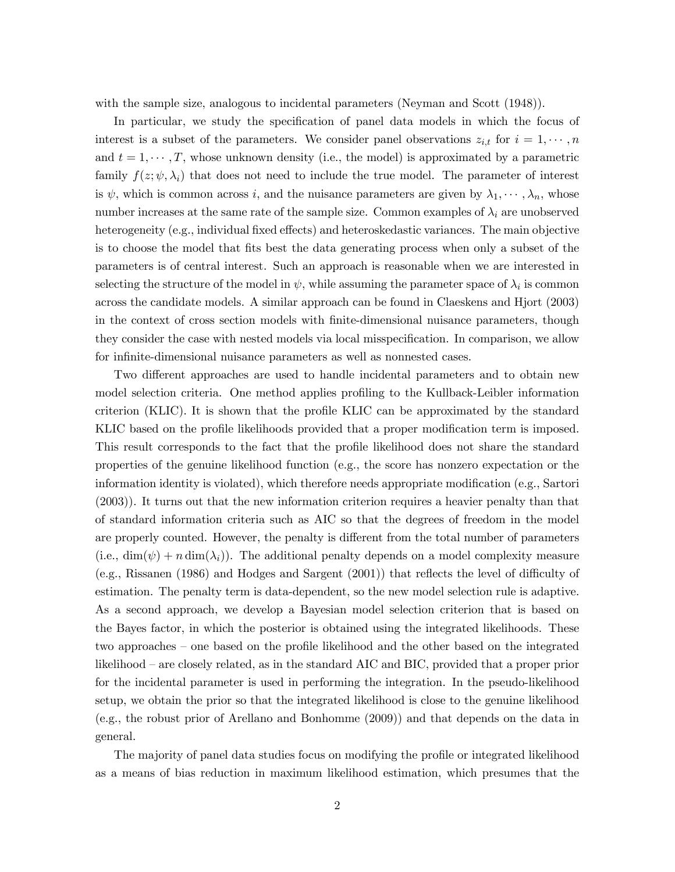with the sample size, analogous to incidental parameters (Neyman and Scott (1948)).

In particular, we study the specification of panel data models in which the focus of interest is a subset of the parameters. We consider panel observations  $z_{i,t}$  for  $i=1,\dots,n$ and  $t = 1, \dots, T$ , whose unknown density (i.e., the model) is approximated by a parametric family  $f(z; \psi, \lambda_i)$  that does not need to include the true model. The parameter of interest is  $\psi$ , which is common across i, and the nuisance parameters are given by  $\lambda_1, \dots, \lambda_n$ , whose number increases at the same rate of the sample size. Common examples of  $\lambda_i$  are unobserved heterogeneity (e.g., individual fixed effects) and heteroskedastic variances. The main objective is to choose the model that fits best the data generating process when only a subset of the parameters is of central interest. Such an approach is reasonable when we are interested in selecting the structure of the model in  $\psi$ , while assuming the parameter space of  $\lambda_i$  is common across the candidate models. A similar approach can be found in Claeskens and Hjort (2003) in the context of cross section models with finite-dimensional nuisance parameters, though they consider the case with nested models via local misspecification. In comparison, we allow for infinite-dimensional nuisance parameters as well as nonnested cases.

Two different approaches are used to handle incidental parameters and to obtain new model selection criteria. One method applies profiling to the Kullback-Leibler information criterion (KLIC). It is shown that the profile KLIC can be approximated by the standard KLIC based on the profile likelihoods provided that a proper modification term is imposed. This result corresponds to the fact that the profile likelihood does not share the standard properties of the genuine likelihood function (e.g., the score has nonzero expectation or the information identity is violated), which therefore needs appropriate modification (e.g., Sartori (2003)). It turns out that the new information criterion requires a heavier penalty than that of standard information criteria such as AIC so that the degrees of freedom in the model are properly counted. However, the penalty is different from the total number of parameters (i.e.,  $\dim(\psi) + n \dim(\lambda_i)$ ). The additional penalty depends on a model complexity measure (e.g., Rissanen (1986) and Hodges and Sargent (2001)) that reflects the level of difficulty of estimation. The penalty term is data-dependent, so the new model selection rule is adaptive. As a second approach, we develop a Bayesian model selection criterion that is based on the Bayes factor, in which the posterior is obtained using the integrated likelihoods. These two approaches — one based on the profile likelihood and the other based on the integrated likelihood — are closely related, as in the standard AIC and BIC, provided that a proper prior for the incidental parameter is used in performing the integration. In the pseudo-likelihood setup, we obtain the prior so that the integrated likelihood is close to the genuine likelihood (e.g., the robust prior of Arellano and Bonhomme (2009)) and that depends on the data in general.

The majority of panel data studies focus on modifying the profile or integrated likelihood as a means of bias reduction in maximum likelihood estimation, which presumes that the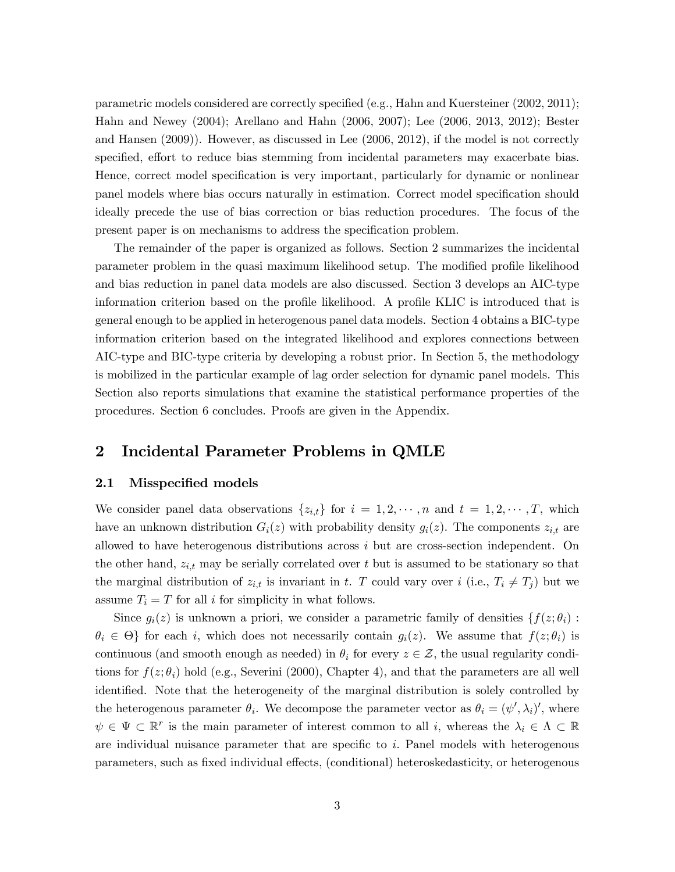parametric models considered are correctly specified (e.g., Hahn and Kuersteiner (2002, 2011); Hahn and Newey (2004); Arellano and Hahn (2006, 2007); Lee (2006, 2013, 2012); Bester and Hansen (2009)). However, as discussed in Lee (2006, 2012), if the model is not correctly specified, effort to reduce bias stemming from incidental parameters may exacerbate bias. Hence, correct model specification is very important, particularly for dynamic or nonlinear panel models where bias occurs naturally in estimation. Correct model specification should ideally precede the use of bias correction or bias reduction procedures. The focus of the present paper is on mechanisms to address the specification problem.

The remainder of the paper is organized as follows. Section 2 summarizes the incidental parameter problem in the quasi maximum likelihood setup. The modified profile likelihood and bias reduction in panel data models are also discussed. Section 3 develops an AIC-type information criterion based on the profile likelihood. A profile KLIC is introduced that is general enough to be applied in heterogenous panel data models. Section 4 obtains a BIC-type information criterion based on the integrated likelihood and explores connections between AIC-type and BIC-type criteria by developing a robust prior. In Section 5, the methodology is mobilized in the particular example of lag order selection for dynamic panel models. This Section also reports simulations that examine the statistical performance properties of the procedures. Section 6 concludes. Proofs are given in the Appendix.

### 2 Incidental Parameter Problems in QMLE

#### 2.1 Misspecified models

We consider panel data observations  $\{z_{i,t}\}\$ for  $i=1,2,\cdots,n$  and  $t=1,2,\cdots,T$ , which have an unknown distribution  $G_i(z)$  with probability density  $g_i(z)$ . The components  $z_{i,t}$  are allowed to have heterogenous distributions across  $i$  but are cross-section independent. On the other hand,  $z_{i,t}$  may be serially correlated over t but is assumed to be stationary so that the marginal distribution of  $z_{i,t}$  is invariant in t. T could vary over  $i$  (i.e.,  $T_i \neq T_j$ ) but we assume  $T_i = T$  for all *i* for simplicity in what follows.

Since  $g_i(z)$  is unknown a priori, we consider a parametric family of densities  $\{f(z; \theta_i):$  $\theta_i \in \Theta$  for each i, which does not necessarily contain  $g_i(z)$ . We assume that  $f(z; \theta_i)$  is continuous (and smooth enough as needed) in  $\theta_i$  for every  $z \in \mathcal{Z}$ , the usual regularity conditions for  $f(z; \theta_i)$  hold (e.g., Severini (2000), Chapter 4), and that the parameters are all well identified. Note that the heterogeneity of the marginal distribution is solely controlled by the heterogenous parameter  $\theta_i$ . We decompose the parameter vector as  $\theta_i = (\psi', \lambda_i)'$ , where  $\psi \in \Psi \subset \mathbb{R}^r$  is the main parameter of interest common to all i, whereas the  $\lambda_i \in \Lambda \subset \mathbb{R}$ are individual nuisance parameter that are specific to  $i$ . Panel models with heterogenous parameters, such as fixed individual effects, (conditional) heteroskedasticity, or heterogenous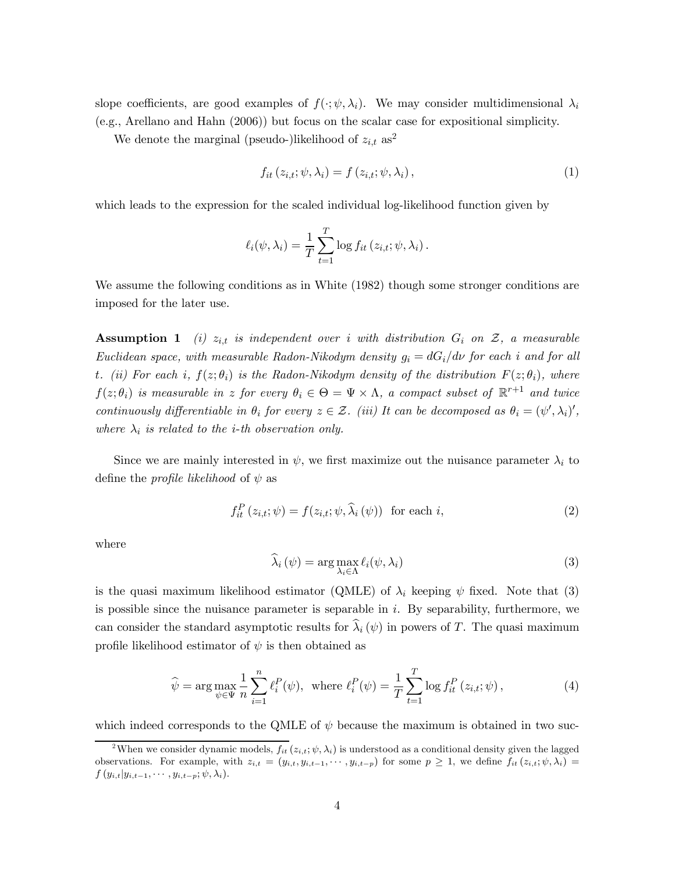slope coefficients, are good examples of  $f(\cdot; \psi, \lambda_i)$ . We may consider multidimensional  $\lambda_i$ (e.g., Arellano and Hahn (2006)) but focus on the scalar case for expositional simplicity.

We denote the marginal (pseudo-)likelihood of  $z_{i,t}$  as<sup>2</sup>

$$
f_{it}(z_{i,t}; \psi, \lambda_i) = f(z_{i,t}; \psi, \lambda_i), \qquad (1)
$$

which leads to the expression for the scaled individual log-likelihood function given by

$$
\ell_i(\psi, \lambda_i) = \frac{1}{T} \sum_{t=1}^T \log f_{it} (z_{i,t}; \psi, \lambda_i).
$$

We assume the following conditions as in White (1982) though some stronger conditions are imposed for the later use.

**Assumption 1** (i)  $z_{i,t}$  is independent over i with distribution  $G_i$  on  $\mathcal{Z}$ , a measurable Euclidean space, with measurable Radon-Nikodym density  $g_i = dG_i/d\nu$  for each *i* and for all t. (ii) For each i,  $f(z; \theta_i)$  is the Radon-Nikodym density of the distribution  $F(z; \theta_i)$ , where  $f(z; \theta_i)$  is measurable in z for every  $\theta_i \in \Theta = \Psi \times \Lambda$ , a compact subset of  $\mathbb{R}^{r+1}$  and twice continuously differentiable in  $\theta_i$  for every  $z \in \mathcal{Z}$ . (iii) It can be decomposed as  $\theta_i = (\psi', \lambda_i)'$ , where  $\lambda_i$  is related to the *i*-th observation only.

Since we are mainly interested in  $\psi$ , we first maximize out the nuisance parameter  $\lambda_i$  to define the *profile likelihood* of  $\psi$  as

$$
f_{it}^{P}(z_{i,t};\psi) = f(z_{i,t};\psi,\hat{\lambda}_{i}(\psi)) \text{ for each } i,
$$
\n(2)

where

$$
\widehat{\lambda}_{i}(\psi) = \arg \max_{\lambda_{i} \in \Lambda} \ell_{i}(\psi, \lambda_{i})
$$
\n(3)

is the quasi maximum likelihood estimator (QMLE) of  $\lambda_i$  keeping  $\psi$  fixed. Note that (3) is possible since the nuisance parameter is separable in  $i$ . By separability, furthermore, we can consider the standard asymptotic results for  $\hat{\lambda}_i (\psi)$  in powers of T. The quasi maximum profile likelihood estimator of  $\psi$  is then obtained as

$$
\widehat{\psi} = \arg \max_{\psi \in \Psi} \frac{1}{n} \sum_{i=1}^{n} \ell_i^P(\psi), \text{ where } \ell_i^P(\psi) = \frac{1}{T} \sum_{t=1}^{T} \log f_{it}^P(z_{i,t}; \psi), \tag{4}
$$

which indeed corresponds to the QMLE of  $\psi$  because the maximum is obtained in two suc-

<sup>&</sup>lt;sup>2</sup>When we consider dynamic models,  $f_{it}(z_{i,t}; \psi, \lambda_i)$  is understood as a conditional density given the lagged observations. For example, with  $z_{i,t} = (y_{i,t}, y_{i,t-1}, \cdots, y_{i,t-p})$  for some  $p \ge 1$ , we define  $f_{it}(z_{i,t}; \psi, \lambda_i) =$  $f(y_{i,t} | y_{i,t-1}, \cdots, y_{i,t-p}; \psi, \lambda_i).$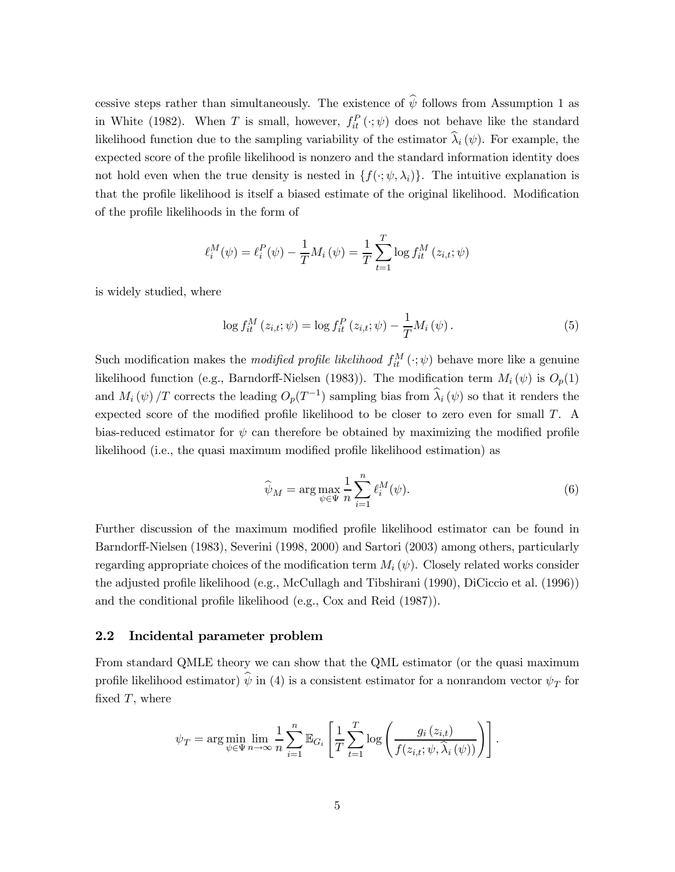cessive steps rather than simultaneously. The existence of  $\hat{\psi}$  follows from Assumption 1 as in White (1982). When T is small, however,  $f_{it}^{P}(\cdot;\psi)$  does not behave like the standard likelihood function due to the sampling variability of the estimator  $\lambda_i (\psi)$ . For example, the expected score of the profile likelihood is nonzero and the standard information identity does not hold even when the true density is nested in  $\{f(\cdot; \psi, \lambda_i)\}\$ . The intuitive explanation is that the profile likelihood is itself a biased estimate of the original likelihood. Modification of the profile likelihoods in the form of

$$
\ell_i^M(\psi) = \ell_i^P(\psi) - \frac{1}{T} M_i(\psi) = \frac{1}{T} \sum_{t=1}^T \log f_{it}^M(z_{i,t}; \psi)
$$

is widely studied, where

$$
\log f_{it}^{M}(z_{i,t}; \psi) = \log f_{it}^{P}(z_{i,t}; \psi) - \frac{1}{T} M_{i}(\psi).
$$
\n(5)

Such modification makes the *modified profile likelihood*  $f_{it}^{M}(\cdot;\psi)$  behave more like a genuine likelihood function (e.g., Barndorff-Nielsen (1983)). The modification term  $M_i(\psi)$  is  $O_p(1)$ and  $M_i(\psi)/T$  corrects the leading  $O_p(T^{-1})$  sampling bias from  $\widehat{\lambda}_i(\psi)$  so that it renders the expected score of the modified profile likelihood to be closer to zero even for small  $T$ . A bias-reduced estimator for  $\psi$  can therefore be obtained by maximizing the modified profile likelihood (i.e., the quasi maximum modified profile likelihood estimation) as

$$
\widehat{\psi}_M = \arg \max_{\psi \in \Psi} \frac{1}{n} \sum_{i=1}^n \ell_i^M(\psi). \tag{6}
$$

Further discussion of the maximum modified profile likelihood estimator can be found in Barndorff-Nielsen (1983), Severini (1998, 2000) and Sartori (2003) among others, particularly regarding appropriate choices of the modification term  $M_i(\psi)$ . Closely related works consider the adjusted profile likelihood (e.g., McCullagh and Tibshirani (1990), DiCiccio et al. (1996)) and the conditional profile likelihood (e.g., Cox and Reid (1987)).

#### 2.2 Incidental parameter problem

From standard QMLE theory we can show that the QML estimator (or the quasi maximum profile likelihood estimator)  $\hat{\psi}$  in (4) is a consistent estimator for a nonrandom vector  $\psi_T$  for fixed  $T$ , where

$$
\psi_T = \arg \min_{\psi \in \Psi} \lim_{n \to \infty} \frac{1}{n} \sum_{i=1}^n \mathbb{E}_{G_i} \left[ \frac{1}{T} \sum_{t=1}^T \log \left( \frac{g_i(z_{i,t})}{f(z_{i,t}; \psi, \widehat{\lambda}_i(\psi))} \right) \right].
$$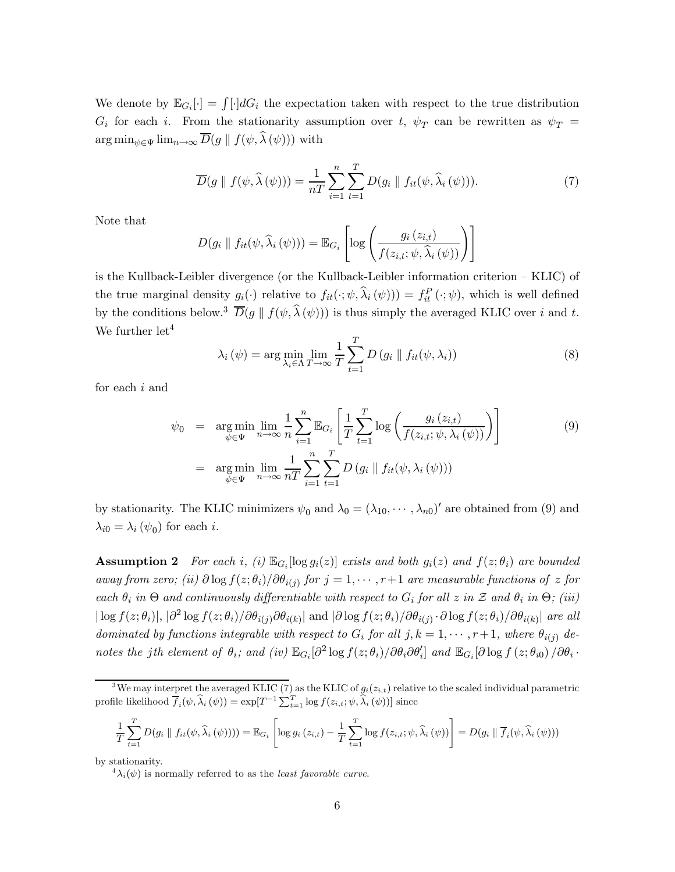We denote by  $\mathbb{E}_{G_i}[\cdot] = \int [\cdot] dG_i$  the expectation taken with respect to the true distribution  $G_i$  for each i. From the stationarity assumption over t,  $\psi_T$  can be rewritten as  $\psi_T =$  $\arg \min_{\psi \in \Psi} \lim_{n \to \infty} \overline{D}(g \parallel f(\psi, \widehat{\lambda}(\psi)))$  with

$$
\overline{D}(g \parallel f(\psi, \widehat{\lambda}(\psi))) = \frac{1}{nT} \sum_{i=1}^{n} \sum_{t=1}^{T} D(g_i \parallel f_{it}(\psi, \widehat{\lambda}_i(\psi))). \tag{7}
$$

Note that

$$
D(g_i \parallel f_{it}(\psi, \widehat{\lambda}_i(\psi))) = \mathbb{E}_{G_i} \left[ \log \left( \frac{g_i(z_{i,t})}{f(z_{i,t}; \psi, \widehat{\lambda}_i(\psi))} \right) \right]
$$

is the Kullback-Leibler divergence (or the Kullback-Leibler information criterion — KLIC) of the true marginal density  $g_i(\cdot)$  relative to  $f_{it}(\cdot; \psi, \hat{\lambda}_i(\psi)) = f_{it}^P(\cdot; \psi)$ , which is well defined by the conditions below.<sup>3</sup>  $\overline{D}(g \parallel f(\psi, \widehat{\lambda}(\psi)))$  is thus simply the averaged KLIC over *i* and *t*. We further  $let<sup>4</sup>$ 

$$
\lambda_i(\psi) = \arg\min_{\lambda_i \in \Lambda} \lim_{T \to \infty} \frac{1}{T} \sum_{t=1}^T D(g_i \parallel f_{it}(\psi, \lambda_i))
$$
\n(8)

for each  $i$  and

$$
\psi_0 = \underset{\psi \in \Psi}{\arg \min} \lim_{n \to \infty} \frac{1}{n} \sum_{i=1}^n \mathbb{E}_{G_i} \left[ \frac{1}{T} \sum_{t=1}^T \log \left( \frac{g_i(z_{i,t})}{f(z_{i,t}; \psi, \lambda_i(\psi))} \right) \right]
$$
\n
$$
= \underset{\psi \in \Psi}{\arg \min} \lim_{n \to \infty} \frac{1}{nT} \sum_{i=1}^n \sum_{t=1}^T D(g_i \parallel f_{it}(\psi, \lambda_i(\psi)))
$$
\n(9)

by stationarity. The KLIC minimizers  $\psi_0$  and  $\lambda_0 = (\lambda_{10}, \cdots, \lambda_{n0})'$  are obtained from (9) and  $\lambda_{i0} = \lambda_i (\psi_0)$  for each *i*.

**Assumption 2** For each i, (i)  $\mathbb{E}_{G_i}[\log g_i(z)]$  exists and both  $g_i(z)$  and  $f(z; \theta_i)$  are bounded away from zero; (ii)  $\partial \log f(z; \theta_i)/\partial \theta_{i(j)}$  for  $j = 1, \dots, r+1$  are measurable functions of z for each  $\theta_i$  in  $\Theta$  and continuously differentiable with respect to  $G_i$  for all  $z$  in  $\mathcal Z$  and  $\theta_i$  in  $\Theta$ ; (iii)  $|\log f(z; \theta_i)|$ ,  $|\partial^2 \log f(z; \theta_i)/\partial \theta_{i(i)} \partial \theta_{i(k)}|$  and  $|\partial \log f(z; \theta_i)/\partial \theta_{i(j)} \cdot \partial \log f(z; \theta_i)/\partial \theta_{i(k)}|$  are all dominated by functions integrable with respect to  $G_i$  for all  $j, k = 1, \dots, r+1$ , where  $\theta_{i(j)}$  denotes the jth element of  $\theta_i$ ; and (iv)  $\mathbb{E}_{G_i}[\partial^2 \log f(z; \theta_i) / \partial \theta_i \partial \theta'_i]$  and  $\mathbb{E}_{G_i}[\partial \log f(z; \theta_{i0}) / \partial \theta_i \cdot \theta'_i]$ 

$$
\frac{1}{T} \sum_{t=1}^{T} D(g_i \parallel f_{it}(\psi, \widehat{\lambda}_i(\psi)))) = \mathbb{E}_{G_i} \left[ \log g_i(z_{i,t}) - \frac{1}{T} \sum_{t=1}^{T} \log f(z_{i,t}; \psi, \widehat{\lambda}_i(\psi)) \right] = D(g_i \parallel \overline{f}_i(\psi, \widehat{\lambda}_i(\psi)))
$$

by stationarity.

<sup>&</sup>lt;sup>3</sup>We may interpret the averaged KLIC (7) as the KLIC of  $g_i(z_{i,t})$  relative to the scaled individual parametric profile likelihood  $\overline{f}_i(\psi, \widehat{\lambda}_i(\psi)) = \exp[T^{-1} \sum_{t=1}^T \log f(z_{i,t}; \psi, \widehat{\lambda}_i(\psi))]$  since

 ${}^4\lambda_i(\psi)$  is normally referred to as the *least favorable curve*.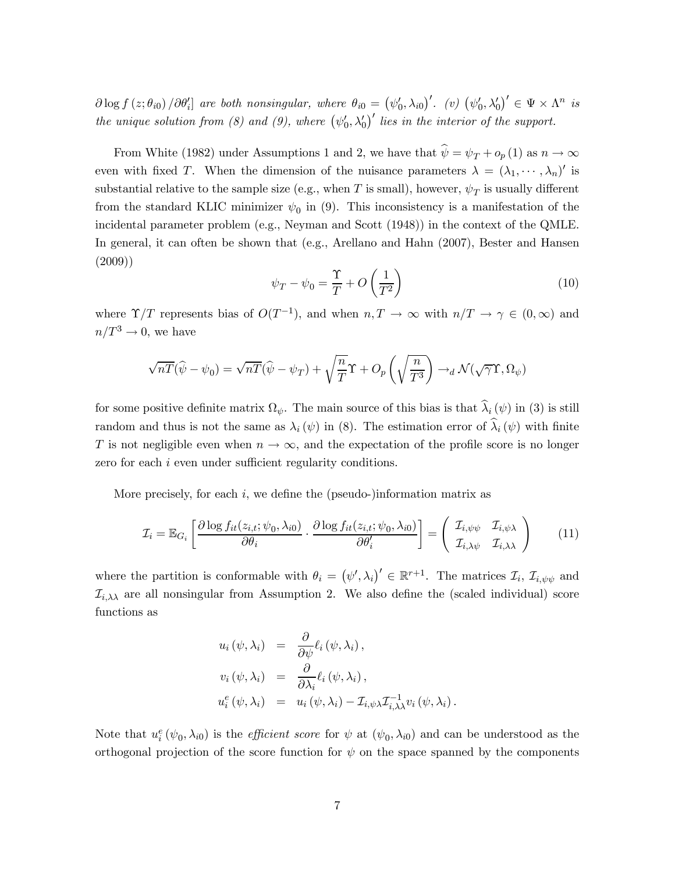$\partial \log f(z; \theta_{i0})/\partial \theta'_{i}$  are both nonsingular, where  $\theta_{i0} = (\psi'_{0}, \lambda_{i0})'$ . (v)  $(\psi'_{0}, \lambda'_{0})' \in \Psi \times \Lambda^{n}$  is the unique solution from (8) and (9), where  $(\psi'_0, \lambda'_0)'$  lies in the interior of the support.

From White (1982) under Assumptions 1 and 2, we have that  $\hat{\psi} = \psi_T + o_p(1)$  as  $n \to \infty$ even with fixed T. When the dimension of the nuisance parameters  $\lambda = (\lambda_1, \dots, \lambda_n)'$  is substantial relative to the sample size (e.g., when T is small), however,  $\psi_T$  is usually different from the standard KLIC minimizer  $\psi_0$  in (9). This inconsistency is a manifestation of the incidental parameter problem (e.g., Neyman and Scott (1948)) in the context of the QMLE. In general, it can often be shown that (e.g., Arellano and Hahn (2007), Bester and Hansen (2009))

$$
\psi_T - \psi_0 = \frac{\Upsilon}{T} + O\left(\frac{1}{T^2}\right) \tag{10}
$$

where  $\Upsilon/T$  represents bias of  $O(T^{-1})$ , and when  $n, T \to \infty$  with  $n/T \to \gamma \in (0, \infty)$  and  $n/T^3 \rightarrow 0$ , we have

$$
\sqrt{n}\overline{T}(\widehat{\psi}-\psi_0)=\sqrt{n}\overline{T}(\widehat{\psi}-\psi_T)+\sqrt{\frac{n}{T}}\Upsilon+O_p\left(\sqrt{\frac{n}{T^3}}\right)\to_d \mathcal{N}(\sqrt{\gamma}\Upsilon,\Omega_\psi)
$$

for some positive definite matrix  $\Omega_{\psi}$ . The main source of this bias is that  $\hat{\lambda}_i (\psi)$  in (3) is still random and thus is not the same as  $\lambda_i(\psi)$  in (8). The estimation error of  $\hat{\lambda}_i(\psi)$  with finite T is not negligible even when  $n \to \infty$ , and the expectation of the profile score is no longer zero for each  $i$  even under sufficient regularity conditions.

More precisely, for each  $i$ , we define the (pseudo-)information matrix as

$$
\mathcal{I}_i = \mathbb{E}_{G_i} \left[ \frac{\partial \log f_{it}(z_{i,t}; \psi_0, \lambda_{i0})}{\partial \theta_i} \cdot \frac{\partial \log f_{it}(z_{i,t}; \psi_0, \lambda_{i0})}{\partial \theta'_i} \right] = \begin{pmatrix} \mathcal{I}_{i, \psi\psi} & \mathcal{I}_{i, \psi\lambda} \\ \mathcal{I}_{i, \lambda\psi} & \mathcal{I}_{i, \lambda\lambda} \end{pmatrix}
$$
(11)

where the partition is conformable with  $\theta_i = (\psi', \lambda_i)' \in \mathbb{R}^{r+1}$ . The matrices  $\mathcal{I}_i$ ,  $\mathcal{I}_{i, \psi\psi}$  and  $\mathcal{I}_{i,\lambda\lambda}$  are all nonsingular from Assumption 2. We also define the (scaled individual) score functions as

$$
u_i(\psi, \lambda_i) = \frac{\partial}{\partial \psi} \ell_i(\psi, \lambda_i),
$$
  
\n
$$
v_i(\psi, \lambda_i) = \frac{\partial}{\partial \lambda_i} \ell_i(\psi, \lambda_i),
$$
  
\n
$$
u_i^e(\psi, \lambda_i) = u_i(\psi, \lambda_i) - \mathcal{I}_{i, \psi \lambda} \mathcal{I}_{i, \lambda}^{-1} v_i(\psi, \lambda_i).
$$

Note that  $u_i^e(\psi_0, \lambda_{i0})$  is the *efficient score* for  $\psi$  at  $(\psi_0, \lambda_{i0})$  and can be understood as the orthogonal projection of the score function for  $\psi$  on the space spanned by the components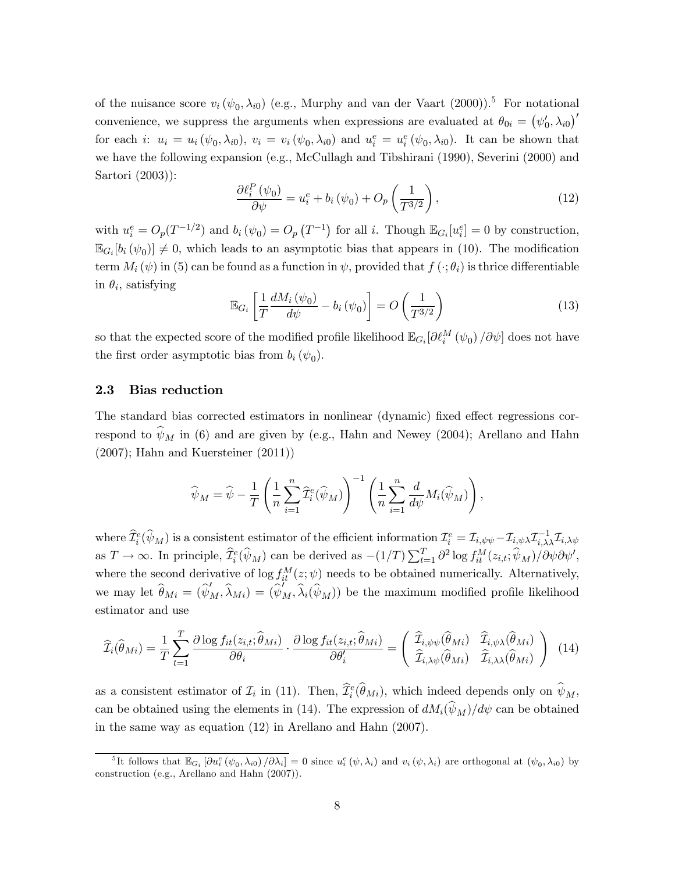of the nuisance score  $v_i(\psi_0, \lambda_{i0})$  (e.g., Murphy and van der Vaart (2000)).<sup>5</sup> For notational convenience, we suppress the arguments when expressions are evaluated at  $\theta_{0i} = (\psi_0', \lambda_{i0})'$ for each *i*:  $u_i = u_i(\psi_0, \lambda_{i0}), v_i = v_i(\psi_0, \lambda_{i0})$  and  $u_i^e = u_i^e(\psi_0, \lambda_{i0}).$  It can be shown that we have the following expansion (e.g., McCullagh and Tibshirani (1990), Severini (2000) and Sartori (2003)):

$$
\frac{\partial \ell_i^P(\psi_0)}{\partial \psi} = u_i^e + b_i(\psi_0) + O_p\left(\frac{1}{T^{3/2}}\right),\tag{12}
$$

with  $u_i^e = O_p(T^{-1/2})$  and  $b_i(\psi_0) = O_p(T^{-1})$  for all i. Though  $\mathbb{E}_{G_i}[u_i^e] = 0$  by construction,  $\mathbb{E}_{G_i}[b_i(\psi_0)] \neq 0$ , which leads to an asymptotic bias that appears in (10). The modification term  $M_i(\psi)$  in (5) can be found as a function in  $\psi$ , provided that  $f(\cdot; \theta_i)$  is thrice differentiable in  $\theta_i$ , satisfying

$$
\mathbb{E}_{G_i} \left[ \frac{1}{T} \frac{dM_i \left( \psi_0 \right)}{d\psi} - b_i \left( \psi_0 \right) \right] = O \left( \frac{1}{T^{3/2}} \right) \tag{13}
$$

so that the expected score of the modified profile likelihood  $\mathbb{E}_{G_i}[\partial \ell_i^M(\psi_0)/\partial \psi]$  does not have the first order asymptotic bias from  $b_i(\psi_0)$ .

### 2.3 Bias reduction

The standard bias corrected estimators in nonlinear (dynamic) fixed effect regressions correspond to  $\hat{\psi}_M$  in (6) and are given by (e.g., Hahn and Newey (2004); Arellano and Hahn (2007); Hahn and Kuersteiner (2011))

$$
\widehat{\psi}_M = \widehat{\psi} - \frac{1}{T} \left( \frac{1}{n} \sum_{i=1}^n \widehat{\mathcal{I}}_i^e(\widehat{\psi}_M) \right)^{-1} \left( \frac{1}{n} \sum_{i=1}^n \frac{d}{d\psi} M_i(\widehat{\psi}_M) \right),
$$

where  $\widehat{\mathcal{I}}_i^e(\widehat{\psi}_M)$  is a consistent estimator of the efficient information  $\mathcal{I}_i^e = \mathcal{I}_{i,\psi\psi} - \mathcal{I}_{i,\psi\lambda}\mathcal{I}_{i,\lambda\lambda}^{-1}\mathcal{I}_{i,\lambda\psi}$ as  $T \to \infty$ . In principle,  $\widehat{\mathcal{I}}_i^e(\widehat{\psi}_M)$  can be derived as  $-(1/T) \sum_{t=1}^T \partial^2 \log f_{it}^M(z_{i,t}; \widehat{\psi}_M) / \partial \psi \partial \psi'$ , where the second derivative of  $\log f_{it}^M(z; \psi)$  needs to be obtained numerically. Alternatively, we may let  $\widehat{\theta}_{Mi} = (\widehat{\psi}'_M, \widehat{\lambda}_{Mi}) = (\widehat{\psi}'_M, \widehat{\lambda}_i(\widehat{\psi}_M))$  be the maximum modified profile likelihood estimator and use

$$
\widehat{\mathcal{I}}_{i}(\widehat{\theta}_{Mi}) = \frac{1}{T} \sum_{t=1}^{T} \frac{\partial \log f_{it}(z_{i,t}; \widehat{\theta}_{Mi})}{\partial \theta_{i}} \cdot \frac{\partial \log f_{it}(z_{i,t}; \widehat{\theta}_{Mi})}{\partial \theta'_{i}} = \begin{pmatrix} \widehat{\mathcal{I}}_{i,\psi\psi}(\widehat{\theta}_{Mi}) & \widehat{\mathcal{I}}_{i,\psi\lambda}(\widehat{\theta}_{Mi})\\ \widehat{\mathcal{I}}_{i,\lambda\psi}(\widehat{\theta}_{Mi}) & \widehat{\mathcal{I}}_{i,\lambda\lambda}(\widehat{\theta}_{Mi}) \end{pmatrix} (14)
$$

as a consistent estimator of  $\mathcal{I}_i$  in (11). Then,  $\hat{\mathcal{I}}_i^e(\hat{\theta}_{Mi})$ , which indeed depends only on  $\hat{\psi}_M$ , can be obtained using the elements in (14). The expression of  $dM_i(\hat{\psi}_M)/d\psi$  can be obtained in the same way as equation (12) in Arellano and Hahn (2007).

<sup>&</sup>lt;sup>5</sup>It follows that  $\mathbb{E}_{G_i} [\partial u_i^e (\psi_0, \lambda_{i0}) / \partial \lambda_i] = 0$  since  $u_i^e (\psi, \lambda_i)$  and  $v_i (\psi, \lambda_i)$  are orthogonal at  $(\psi_0, \lambda_{i0})$  by construction (e.g., Arellano and Hahn (2007)).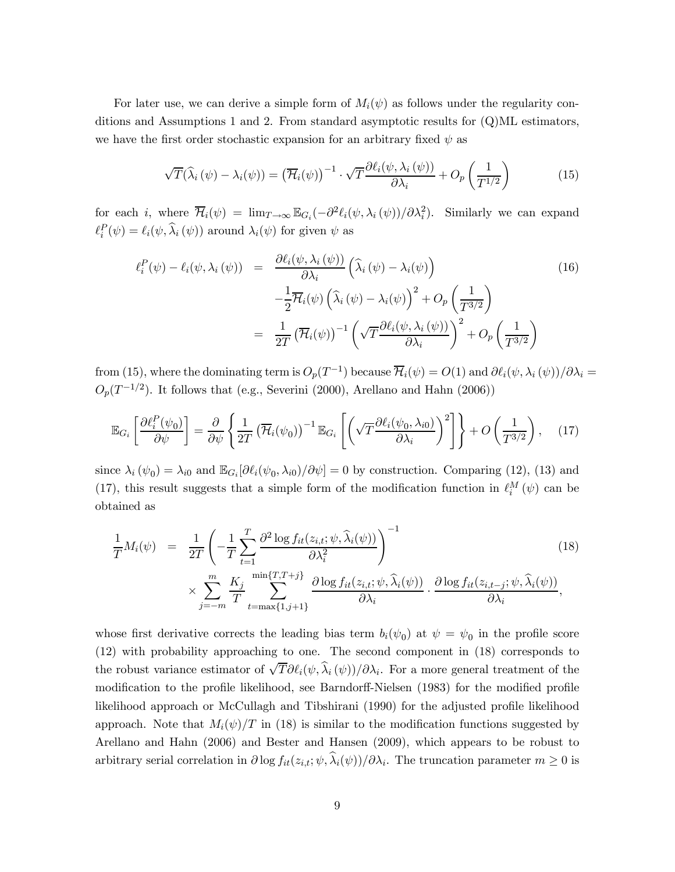For later use, we can derive a simple form of  $M_i(\psi)$  as follows under the regularity conditions and Assumptions 1 and 2. From standard asymptotic results for (Q)ML estimators, we have the first order stochastic expansion for an arbitrary fixed  $\psi$  as

$$
\sqrt{T}(\widehat{\lambda}_{i}(\psi) - \lambda_{i}(\psi)) = (\overline{\mathcal{H}}_{i}(\psi))^{-1} \cdot \sqrt{T} \frac{\partial \ell_{i}(\psi, \lambda_{i}(\psi))}{\partial \lambda_{i}} + O_{p}\left(\frac{1}{T^{1/2}}\right)
$$
(15)

for each *i*, where  $\overline{\mathcal{H}}_i(\psi) = \lim_{T \to \infty} \mathbb{E}_{G_i}(-\partial^2 \ell_i(\psi, \lambda_i(\psi))/\partial \lambda_i^2)$ . Similarly we can expand  $\ell_i^P(\psi) = \ell_i(\psi, \hat{\lambda}_i(\psi))$  around  $\lambda_i(\psi)$  for given  $\psi$  as

$$
\ell_i^P(\psi) - \ell_i(\psi, \lambda_i(\psi)) = \frac{\partial \ell_i(\psi, \lambda_i(\psi))}{\partial \lambda_i} \left( \widehat{\lambda}_i(\psi) - \lambda_i(\psi) \right)
$$
\n
$$
- \frac{1}{2} \overline{\mathcal{H}}_i(\psi) \left( \widehat{\lambda}_i(\psi) - \lambda_i(\psi) \right)^2 + O_p \left( \frac{1}{T^{3/2}} \right)
$$
\n
$$
= \frac{1}{2T} \left( \overline{\mathcal{H}}_i(\psi) \right)^{-1} \left( \sqrt{T} \frac{\partial \ell_i(\psi, \lambda_i(\psi))}{\partial \lambda_i} \right)^2 + O_p \left( \frac{1}{T^{3/2}} \right)
$$
\n(16)

from (15), where the dominating term is  $O_p(T^{-1})$  because  $\overline{\mathcal{H}}_i(\psi) = O(1)$  and  $\partial \ell_i(\psi, \lambda_i(\psi))/\partial \lambda_i =$  $O_p(T^{-1/2})$ . It follows that (e.g., Severini (2000), Arellano and Hahn (2006))

$$
\mathbb{E}_{G_i} \left[ \frac{\partial \ell_i^P(\psi_0)}{\partial \psi} \right] = \frac{\partial}{\partial \psi} \left\{ \frac{1}{2T} \left( \overline{\mathcal{H}}_i(\psi_0) \right)^{-1} \mathbb{E}_{G_i} \left[ \left( \sqrt{T} \frac{\partial \ell_i(\psi_0, \lambda_{i0})}{\partial \lambda_i} \right)^2 \right] \right\} + O\left( \frac{1}{T^{3/2}} \right), \quad (17)
$$

since  $\lambda_i(\psi_0) = \lambda_{i0}$  and  $\mathbb{E}_{G_i}[\partial \ell_i(\psi_0, \lambda_{i0})/\partial \psi] = 0$  by construction. Comparing (12), (13) and (17), this result suggests that a simple form of the modification function in  $\ell_i^M(\psi)$  can be obtained as

$$
\frac{1}{T}M_{i}(\psi) = \frac{1}{2T} \left( -\frac{1}{T} \sum_{t=1}^{T} \frac{\partial^{2} \log f_{it}(z_{i,t}; \psi, \hat{\lambda}_{i}(\psi))}{\partial \lambda_{i}^{2}} \right)^{-1} \times \sum_{j=-m}^{m} \frac{K_{j}}{T} \sum_{t=\max\{1, j+1\}}^{\min\{T, T+j\}} \frac{\partial \log f_{it}(z_{i,t}; \psi, \hat{\lambda}_{i}(\psi))}{\partial \lambda_{i}} \cdot \frac{\partial \log f_{it}(z_{i,t-j}; \psi, \hat{\lambda}_{i}(\psi))}{\partial \lambda_{i}},
$$
\n(18)

whose first derivative corrects the leading bias term  $b_i(\psi_0)$  at  $\psi = \psi_0$  in the profile score (12) with probability approaching to one. The second component in (18) corresponds to the robust variance estimator of  $\sqrt{T}\partial \ell_i(\psi, \hat{\lambda}_i(\psi))/\partial \lambda_i$ . For a more general treatment of the modification to the profile likelihood, see Barndorff-Nielsen (1983) for the modified profile likelihood approach or McCullagh and Tibshirani (1990) for the adjusted profile likelihood approach. Note that  $M_i(\psi)/T$  in (18) is similar to the modification functions suggested by Arellano and Hahn (2006) and Bester and Hansen (2009), which appears to be robust to arbitrary serial correlation in  $\partial \log f_{it}(z_{i,t}; \psi, \hat{\lambda}_i(\psi))/\partial \lambda_i$ . The truncation parameter  $m \geq 0$  is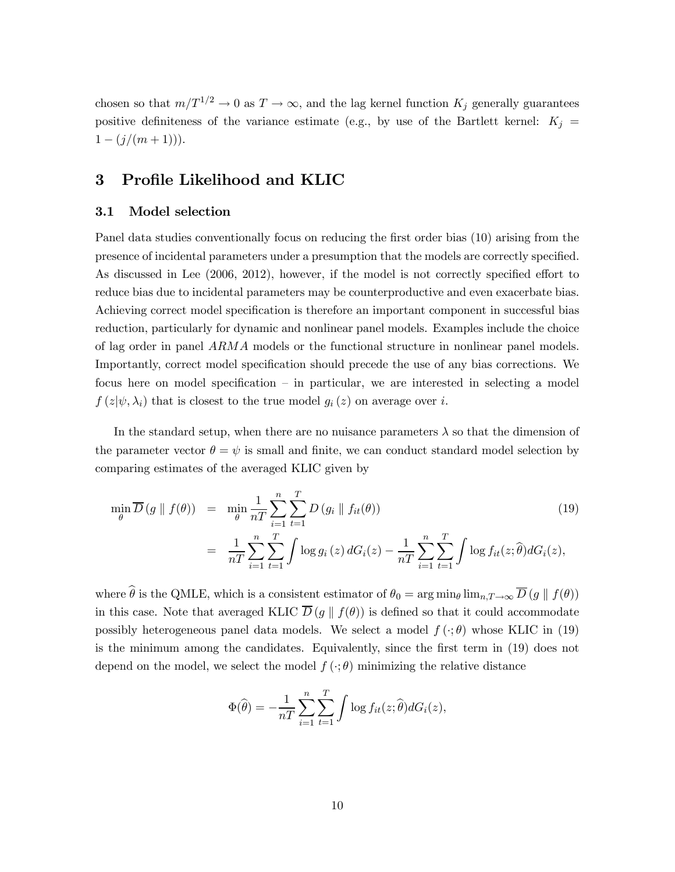chosen so that  $m/T^{1/2} \to 0$  as  $T \to \infty$ , and the lag kernel function  $K_j$  generally guarantees positive definiteness of the variance estimate (e.g., by use of the Bartlett kernel:  $K_j =$  $1 - (j/(m+1))).$ 

## 3 Profile Likelihood and KLIC

#### 3.1 Model selection

Panel data studies conventionally focus on reducing the first order bias (10) arising from the presence of incidental parameters under a presumption that the models are correctly specified. As discussed in Lee (2006, 2012), however, if the model is not correctly specified effort to reduce bias due to incidental parameters may be counterproductive and even exacerbate bias. Achieving correct model specification is therefore an important component in successful bias reduction, particularly for dynamic and nonlinear panel models. Examples include the choice of lag order in panel  $ARMA$  models or the functional structure in nonlinear panel models. Importantly, correct model specification should precede the use of any bias corrections. We focus here on model specification — in particular, we are interested in selecting a model  $f(z|\psi, \lambda_i)$  that is closest to the true model  $g_i(z)$  on average over i.

In the standard setup, when there are no nuisance parameters  $\lambda$  so that the dimension of the parameter vector  $\theta = \psi$  is small and finite, we can conduct standard model selection by comparing estimates of the averaged KLIC given by

$$
\min_{\theta} \overline{D}(g \parallel f(\theta)) = \min_{\theta} \frac{1}{nT} \sum_{i=1}^{n} \sum_{t=1}^{T} D(g_i \parallel f_{it}(\theta))
$$
\n
$$
= \frac{1}{nT} \sum_{i=1}^{n} \sum_{t=1}^{T} \int \log g_i(z) dG_i(z) - \frac{1}{nT} \sum_{i=1}^{n} \sum_{t=1}^{T} \int \log f_{it}(z; \hat{\theta}) dG_i(z),
$$
\n(19)

where  $\hat{\theta}$  is the QMLE, which is a consistent estimator of  $\theta_0 = \arg \min_{\theta} \lim_{n,T \to \infty} \overline{D}(g \parallel f(\theta))$ in this case. Note that averaged KLIC  $\overline{D}(g \parallel f(\theta))$  is defined so that it could accommodate possibly heterogeneous panel data models. We select a model  $f(\cdot; \theta)$  whose KLIC in (19) is the minimum among the candidates. Equivalently, since the first term in (19) does not depend on the model, we select the model  $f(\cdot;\theta)$  minimizing the relative distance

$$
\Phi(\widehat{\theta}) = -\frac{1}{nT} \sum_{i=1}^{n} \sum_{t=1}^{T} \int \log f_{it}(z; \widehat{\theta}) dG_i(z),
$$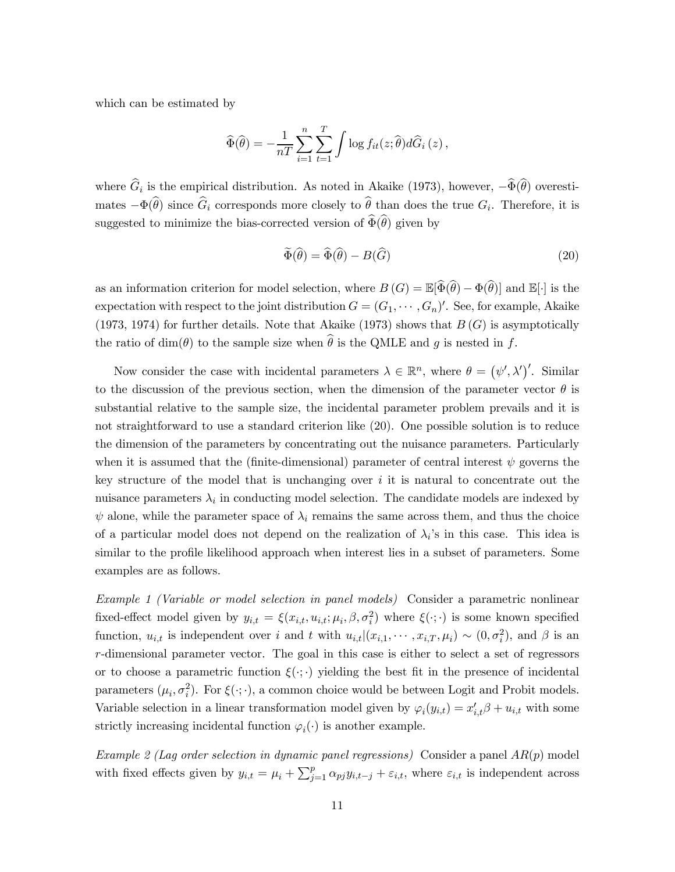which can be estimated by

$$
\widehat{\Phi}(\widehat{\theta}) = -\frac{1}{nT} \sum_{i=1}^{n} \sum_{t=1}^{T} \int \log f_{it}(z; \widehat{\theta}) d\widehat{G}_i(z),
$$

where  $\widehat{G}_i$  is the empirical distribution. As noted in Akaike (1973), however,  $-\widehat{\Phi}(\widehat{\theta})$  overestimates  $-\Phi(\widehat{\theta})$  since  $\widehat{G}_i$  corresponds more closely to  $\widehat{\theta}$  than does the true  $G_i$ . Therefore, it is suggested to minimize the bias-corrected version of  $\widehat{\Phi}(\widehat{\theta})$  given by

$$
\widetilde{\Phi}(\widehat{\theta}) = \widehat{\Phi}(\widehat{\theta}) - B(\widehat{G})\tag{20}
$$

as an information criterion for model selection, where  $B(G) = \mathbb{E}[\widehat{\Phi}(\widehat{\theta}) - \Phi(\widehat{\theta})]$  and  $\mathbb{E}[\cdot]$  is the expectation with respect to the joint distribution  $G = (G_1, \dots, G_n)'$ . See, for example, Akaike (1973, 1974) for further details. Note that Akaike (1973) shows that  $B(G)$  is asymptotically the ratio of dim( $\theta$ ) to the sample size when  $\hat{\theta}$  is the QMLE and q is nested in f.

Now consider the case with incidental parameters  $\lambda \in \mathbb{R}^n$ , where  $\theta = (\psi', \lambda')'$ . Similar to the discussion of the previous section, when the dimension of the parameter vector  $\theta$  is substantial relative to the sample size, the incidental parameter problem prevails and it is not straightforward to use a standard criterion like (20). One possible solution is to reduce the dimension of the parameters by concentrating out the nuisance parameters. Particularly when it is assumed that the (finite-dimensional) parameter of central interest  $\psi$  governs the key structure of the model that is unchanging over  $i$  it is natural to concentrate out the nuisance parameters  $\lambda_i$  in conducting model selection. The candidate models are indexed by  $\psi$  alone, while the parameter space of  $\lambda_i$  remains the same across them, and thus the choice of a particular model does not depend on the realization of  $\lambda_i$ 's in this case. This idea is similar to the profile likelihood approach when interest lies in a subset of parameters. Some examples are as follows.

Example 1 (Variable or model selection in panel models) Consider a parametric nonlinear fixed-effect model given by  $y_{i,t} = \xi(x_{i,t}, u_{i,t}; \mu_i, \beta, \sigma_i^2)$  where  $\xi(\cdot; \cdot)$  is some known specified function,  $u_{i,t}$  is independent over *i* and *t* with  $u_{i,t} | (x_{i,1}, \dots, x_{i,T}, \mu_i) \sim (0, \sigma_i^2)$ , and  $\beta$  is an -dimensional parameter vector. The goal in this case is either to select a set of regressors or to choose a parametric function  $\xi(\cdot;\cdot)$  yielding the best fit in the presence of incidental parameters  $(\mu_i, \sigma_i^2)$ . For  $\xi(\cdot; \cdot)$ , a common choice would be between Logit and Probit models. Variable selection in a linear transformation model given by  $\varphi_i(y_{i,t}) = x'_{i,t}\beta + u_{i,t}$  with some strictly increasing incidental function  $\varphi_i(\cdot)$  is another example.

Example 2 (Lag order selection in dynamic panel regressions) Consider a panel  $AR(p)$  model with fixed effects given by  $y_{i,t} = \mu_i + \sum_{j=1}^p \alpha_{pj} y_{i,t-j} + \varepsilon_{i,t}$ , where  $\varepsilon_{i,t}$  is independent across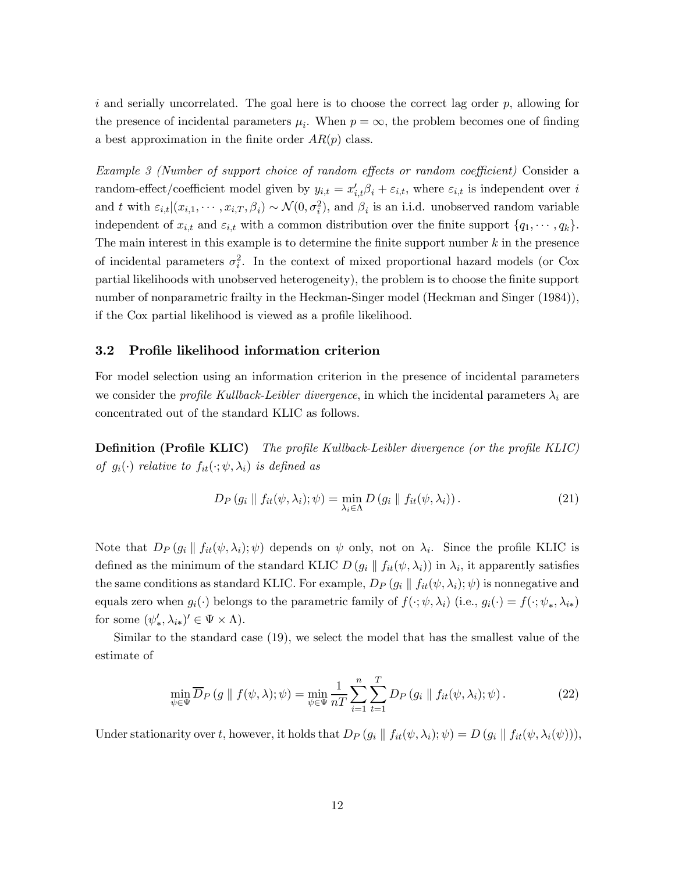i and serially uncorrelated. The goal here is to choose the correct lag order  $p$ , allowing for the presence of incidental parameters  $\mu_i$ . When  $p = \infty$ , the problem becomes one of finding a best approximation in the finite order  $AR(p)$  class.

Example 3 (Number of support choice of random effects or random coefficient) Consider a random-effect/coefficient model given by  $y_{i,t} = x'_{i,t} \beta_i + \varepsilon_{i,t}$ , where  $\varepsilon_{i,t}$  is independent over i and t with  $\varepsilon_{i,t} |(x_{i,1}, \dots, x_{i,T}, \beta_i) \sim \mathcal{N}(0, \sigma_i^2)$ , and  $\beta_i$  is an i.i.d. unobserved random variable independent of  $x_{i,t}$  and  $\varepsilon_{i,t}$  with a common distribution over the finite support  $\{q_1, \dots, q_k\}$ . The main interest in this example is to determine the finite support number  $k$  in the presence of incidental parameters  $\sigma_i^2$ . In the context of mixed proportional hazard models (or Cox partial likelihoods with unobserved heterogeneity), the problem is to choose the finite support number of nonparametric frailty in the Heckman-Singer model (Heckman and Singer (1984)), if the Cox partial likelihood is viewed as a profile likelihood.

### 3.2 Profile likelihood information criterion

For model selection using an information criterion in the presence of incidental parameters we consider the *profile Kullback-Leibler divergence*, in which the incidental parameters  $\lambda_i$  are concentrated out of the standard KLIC as follows.

Definition (Profile KLIC) The profile Kullback-Leibler divergence (or the profile KLIC) of  $g_i(\cdot)$  relative to  $f_{it}(\cdot; \psi, \lambda_i)$  is defined as

$$
D_P(g_i \parallel f_{it}(\psi, \lambda_i); \psi) = \min_{\lambda_i \in \Lambda} D(g_i \parallel f_{it}(\psi, \lambda_i)). \tag{21}
$$

Note that  $D_P(g_i \parallel f_{it}(\psi, \lambda_i); \psi)$  depends on  $\psi$  only, not on  $\lambda_i$ . Since the profile KLIC is defined as the minimum of the standard KLIC  $D(g_i || f_{it}(\psi, \lambda_i))$  in  $\lambda_i$ , it apparently satisfies the same conditions as standard KLIC. For example,  $D_P(g_i \parallel f_{it}(\psi, \lambda_i); \psi)$  is nonnegative and equals zero when  $g_i(\cdot)$  belongs to the parametric family of  $f(\cdot; \psi, \lambda_i)$  (i.e.,  $g_i(\cdot) = f(\cdot; \psi_*, \lambda_{i*})$ for some  $(\psi'_*, \lambda_{i*})' \in \Psi \times \Lambda$ ).

Similar to the standard case (19), we select the model that has the smallest value of the estimate of

$$
\min_{\psi \in \Psi} \overline{D}_P(g \parallel f(\psi, \lambda); \psi) = \min_{\psi \in \Psi} \frac{1}{nT} \sum_{i=1}^n \sum_{t=1}^T D_P(g_i \parallel f_{it}(\psi, \lambda_i); \psi).
$$
\n(22)

Under stationarity over t, however, it holds that  $D_P(g_i \parallel f_{it}(\psi, \lambda_i); \psi) = D(g_i \parallel f_{it}(\psi, \lambda_i(\psi))),$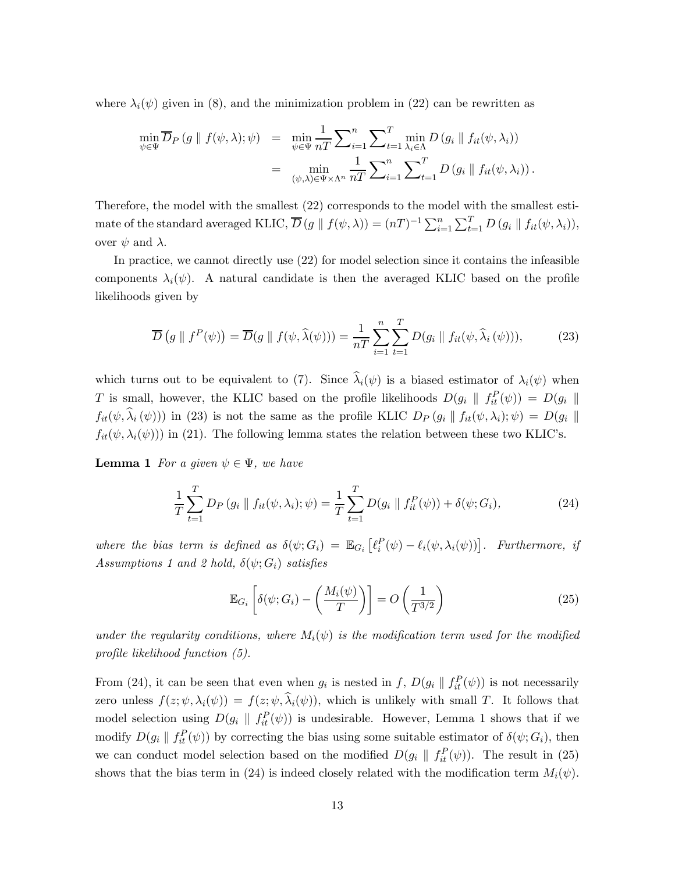where  $\lambda_i(\psi)$  given in (8), and the minimization problem in (22) can be rewritten as

$$
\min_{\psi \in \Psi} \overline{D}_P(g \parallel f(\psi, \lambda); \psi) = \min_{\psi \in \Psi} \frac{1}{nT} \sum_{i=1}^n \sum_{t=1}^T \min_{\lambda_i \in \Lambda} D(g_i \parallel f_{it}(\psi, \lambda_i))
$$
  

$$
= \min_{(\psi, \lambda) \in \Psi \times \Lambda^n} \frac{1}{nT} \sum_{i=1}^n \sum_{t=1}^T D(g_i \parallel f_{it}(\psi, \lambda_i)).
$$

Therefore, the model with the smallest (22) corresponds to the model with the smallest estimate of the standard averaged KLIC,  $\overline{D}(g \parallel f(\psi, \lambda)) = (nT)^{-1} \sum_{i=1}^{n} \sum_{t=1}^{T} D(g_i \parallel f_{it}(\psi, \lambda_i)),$ over  $\psi$  and  $\lambda$ .

In practice, we cannot directly use (22) for model selection since it contains the infeasible components  $\lambda_i(\psi)$ . A natural candidate is then the averaged KLIC based on the profile likelihoods given by

$$
\overline{D}\left(g \parallel f^{P}(\psi)\right) = \overline{D}(g \parallel f(\psi, \widehat{\lambda}(\psi))) = \frac{1}{nT} \sum_{i=1}^{n} \sum_{t=1}^{T} D(g_{i} \parallel f_{it}(\psi, \widehat{\lambda}_{i}(\psi))), \tag{23}
$$

which turns out to be equivalent to (7). Since  $\hat{\lambda}_i(\psi)$  is a biased estimator of  $\lambda_i(\psi)$  when T is small, however, the KLIC based on the profile likelihoods  $D(g_i \parallel f_{it}^P(\psi)) = D(g_i \parallel$  $f_{it}(\psi, \hat{\lambda}_i(\psi))$  in (23) is not the same as the profile KLIC  $D_P(g_i \parallel f_{it}(\psi, \lambda_i); \psi) = D(g_i \parallel f_{it}(\psi, \lambda_i))$  $f_{it}(\psi, \lambda_i(\psi))$  in (21). The following lemma states the relation between these two KLIC's.

**Lemma 1** For a given  $\psi \in \Psi$ , we have

$$
\frac{1}{T} \sum_{t=1}^{T} D_P(g_i \parallel f_{it}(\psi, \lambda_i); \psi) = \frac{1}{T} \sum_{t=1}^{T} D(g_i \parallel f_{it}^P(\psi)) + \delta(\psi; G_i), \tag{24}
$$

where the bias term is defined as  $\delta(\psi; G_i) = \mathbb{E}_{G_i} [\ell_i^P(\psi) - \ell_i(\psi, \lambda_i(\psi))]$ . Furthermore, if Assumptions 1 and 2 hold,  $\delta(\psi; G_i)$  satisfies

$$
\mathbb{E}_{G_i}\left[\delta(\psi; G_i) - \left(\frac{M_i(\psi)}{T}\right)\right] = O\left(\frac{1}{T^{3/2}}\right)
$$
\n(25)

under the regularity conditions, where  $M_i(\psi)$  is the modification term used for the modified profile likelihood function (5).

From (24), it can be seen that even when  $g_i$  is nested in f,  $D(g_i \parallel f_{it}^P(\psi))$  is not necessarily zero unless  $f(z; \psi, \lambda_i(\psi)) = f(z; \psi, \widehat{\lambda}_i(\psi))$ , which is unlikely with small T. It follows that model selection using  $D(g_i \parallel f_{it}^P(\psi))$  is undesirable. However, Lemma 1 shows that if we modify  $D(g_i \parallel f_{it}^P(\psi))$  by correcting the bias using some suitable estimator of  $\delta(\psi; G_i)$ , then we can conduct model selection based on the modified  $D(g_i \parallel f_{it}^P(\psi))$ . The result in (25) shows that the bias term in (24) is indeed closely related with the modification term  $M_i(\psi)$ .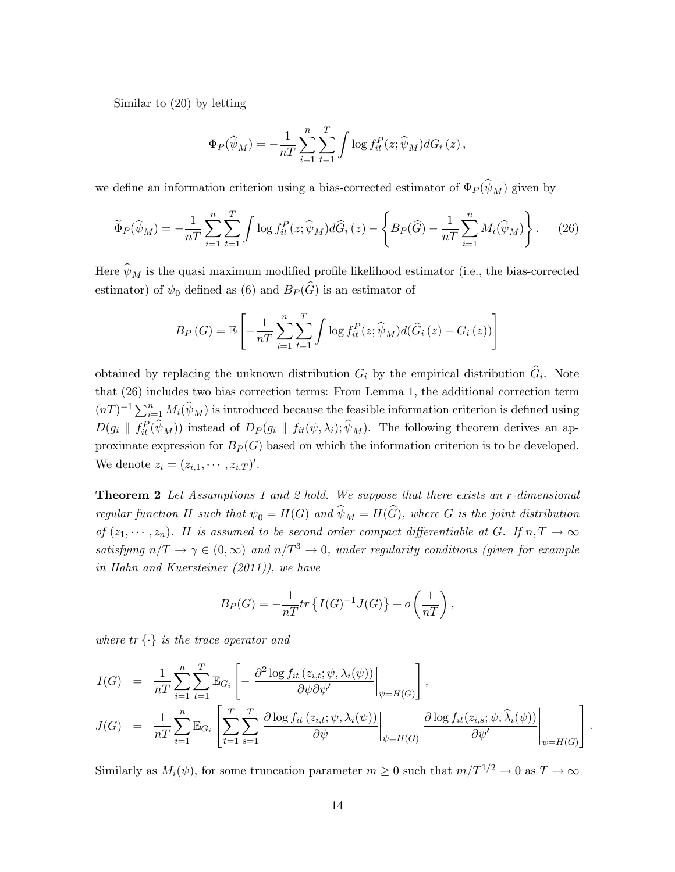Similar to (20) by letting

$$
\Phi_P(\widehat{\psi}_M) = -\frac{1}{nT} \sum_{i=1}^n \sum_{t=1}^T \int \log f_{it}^P(z; \widehat{\psi}_M) dG_i(z),
$$

we define an information criterion using a bias-corrected estimator of  $\Phi_P(\hat{\psi}_M)$  given by

$$
\widetilde{\Phi}_P(\widehat{\psi}_M) = -\frac{1}{nT} \sum_{i=1}^n \sum_{t=1}^T \int \log f_{it}^P(z; \widehat{\psi}_M) d\widehat{G}_i(z) - \left\{ B_P(\widehat{G}) - \frac{1}{nT} \sum_{i=1}^n M_i(\widehat{\psi}_M) \right\}.
$$
 (26)

Here  $\widehat{\psi}_M$  is the quasi maximum modified profile likelihood estimator (i.e., the bias-corrected estimator) of  $\psi_0$  defined as (6) and  $B_P(\widehat{G})$  is an estimator of

$$
B_P\left(G\right) = \mathbb{E}\left[-\frac{1}{nT}\sum_{i=1}^n\sum_{t=1}^T\int\log f_{it}^P(z;\widehat{\psi}_M)d(\widehat{G}_i(z) - G_i(z))\right]
$$

obtained by replacing the unknown distribution  $G_i$  by the empirical distribution  $\hat{G}_i$ . Note that (26) includes two bias correction terms: From Lemma 1, the additional correction term  $(nT)^{-1} \sum_{i=1}^{n} M_i(\widehat{\psi}_M)$  is introduced because the feasible information criterion is defined using  $D(g_i \parallel f_{it}^P(\widehat{\psi}_M))$  instead of  $D_P(g_i \parallel f_{it}(\psi, \lambda_i); \widehat{\psi}_M)$ . The following theorem derives an approximate expression for  $B_P(G)$  based on which the information criterion is to be developed. We denote  $z_i = (z_{i,1}, \cdots, z_{i,T})'$ .

**Theorem 2** Let Assumptions 1 and 2 hold. We suppose that there exists an  $r$ -dimensional regular function H such that  $\psi_0 = H(G)$  and  $\hat{\psi}_M = H(\hat{G})$ , where G is the joint distribution of  $(z_1, \dots, z_n)$ . H is assumed to be second order compact differentiable at G. If  $n, T \to \infty$ satisfying  $n/T \to \gamma \in (0,\infty)$  and  $n/T^3 \to 0$ , under regularity conditions (given for example in Hahn and Kuersteiner (2011)), we have

$$
B_P(G) = -\frac{1}{nT}tr\left\{I(G)^{-1}J(G)\right\} + o\left(\frac{1}{nT}\right),\,
$$

where  $tr\{\cdot\}$  is the trace operator and

$$
I(G) = \frac{1}{nT} \sum_{i=1}^{n} \sum_{t=1}^{T} \mathbb{E}_{G_i} \left[ -\frac{\partial^2 \log f_{it}(z_{i,t}; \psi, \lambda_i(\psi))}{\partial \psi \partial \psi'} \bigg|_{\psi = H(G)} \right],
$$
  
\n
$$
J(G) = \frac{1}{nT} \sum_{i=1}^{n} \mathbb{E}_{G_i} \left[ \sum_{t=1}^{T} \sum_{s=1}^{T} \frac{\partial \log f_{it}(z_{i,t}; \psi, \lambda_i(\psi))}{\partial \psi} \bigg|_{\psi = H(G)} \frac{\partial \log f_{it}(z_{i,s}; \psi, \hat{\lambda}_i(\psi))}{\partial \psi'} \bigg|_{\psi = H(G)} \right].
$$

Similarly as  $M_i(\psi)$ , for some truncation parameter  $m \geq 0$  such that  $m/T^{1/2} \to 0$  as  $T \to \infty$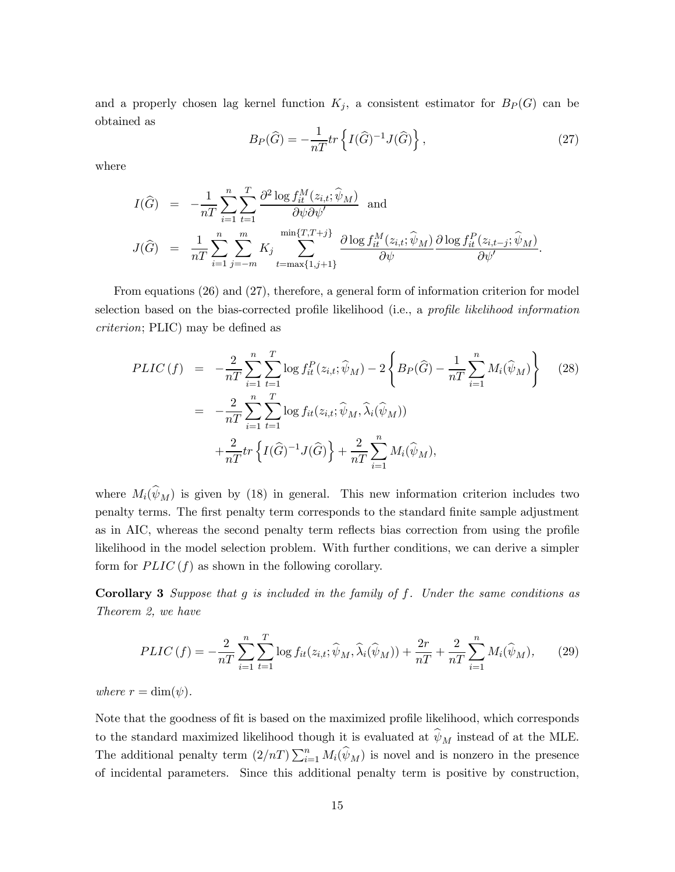and a properly chosen lag kernel function  $K_j$ , a consistent estimator for  $B_P(G)$  can be obtained as

$$
B_P(\widehat{G}) = -\frac{1}{nT}tr\left\{I(\widehat{G})^{-1}J(\widehat{G})\right\},\tag{27}
$$

where

$$
I(\widehat{G}) = -\frac{1}{nT} \sum_{i=1}^{n} \sum_{t=1}^{T} \frac{\partial^2 \log f_{it}^M(z_{i,t}; \widehat{\psi}_M)}{\partial \psi \partial \psi'}
$$
 and  

$$
J(\widehat{G}) = \frac{1}{nT} \sum_{i=1}^{n} \sum_{j=-m}^{m} K_j \sum_{t=\max\{1, j+1\}}^{\min\{T, T+j\}} \frac{\partial \log f_{it}^M(z_{i,t}; \widehat{\psi}_M)}{\partial \psi} \frac{\partial \log f_{it}^P(z_{i,t-j}; \widehat{\psi}_M)}{\partial \psi'}.
$$

From equations (26) and (27), therefore, a general form of information criterion for model selection based on the bias-corrected profile likelihood (i.e., a profile likelihood information criterion; PLIC) may be defined as

$$
PLIC(f) = -\frac{2}{nT} \sum_{i=1}^{n} \sum_{t=1}^{T} \log f_{it}^{P}(z_{i,t}; \hat{\psi}_{M}) - 2 \left\{ B_{P}(\hat{G}) - \frac{1}{nT} \sum_{i=1}^{n} M_{i}(\hat{\psi}_{M}) \right\} \tag{28}
$$
  

$$
= -\frac{2}{nT} \sum_{i=1}^{n} \sum_{t=1}^{T} \log f_{it}(z_{i,t}; \hat{\psi}_{M}, \hat{\lambda}_{i}(\hat{\psi}_{M}))
$$
  

$$
+ \frac{2}{nT} tr \left\{ I(\hat{G})^{-1} J(\hat{G}) \right\} + \frac{2}{nT} \sum_{i=1}^{n} M_{i}(\hat{\psi}_{M}),
$$

where  $M_i(\hat{\psi}_M)$  is given by (18) in general. This new information criterion includes two penalty terms. The first penalty term corresponds to the standard finite sample adjustment as in AIC, whereas the second penalty term reflects bias correction from using the profile likelihood in the model selection problem. With further conditions, we can derive a simpler form for  $PLIC(f)$  as shown in the following corollary.

**Corollary 3** Suppose that  $g$  is included in the family of  $f$ . Under the same conditions as Theorem 2, we have

$$
PLIC\left(f\right) = -\frac{2}{nT} \sum_{i=1}^{n} \sum_{t=1}^{T} \log f_{it}(z_{i,t}; \hat{\psi}_M, \hat{\lambda}_i(\hat{\psi}_M)) + \frac{2r}{nT} + \frac{2}{nT} \sum_{i=1}^{n} M_i(\hat{\psi}_M),\tag{29}
$$

where  $r = \dim(\psi)$ .

Note that the goodness of fit is based on the maximized profile likelihood, which corresponds to the standard maximized likelihood though it is evaluated at  $\hat{\psi}_M$  instead of at the MLE. The additional penalty term  $(2/nT)\sum_{i=1}^n M_i(\widehat{\psi}_M)$  is novel and is nonzero in the presence of incidental parameters. Since this additional penalty term is positive by construction,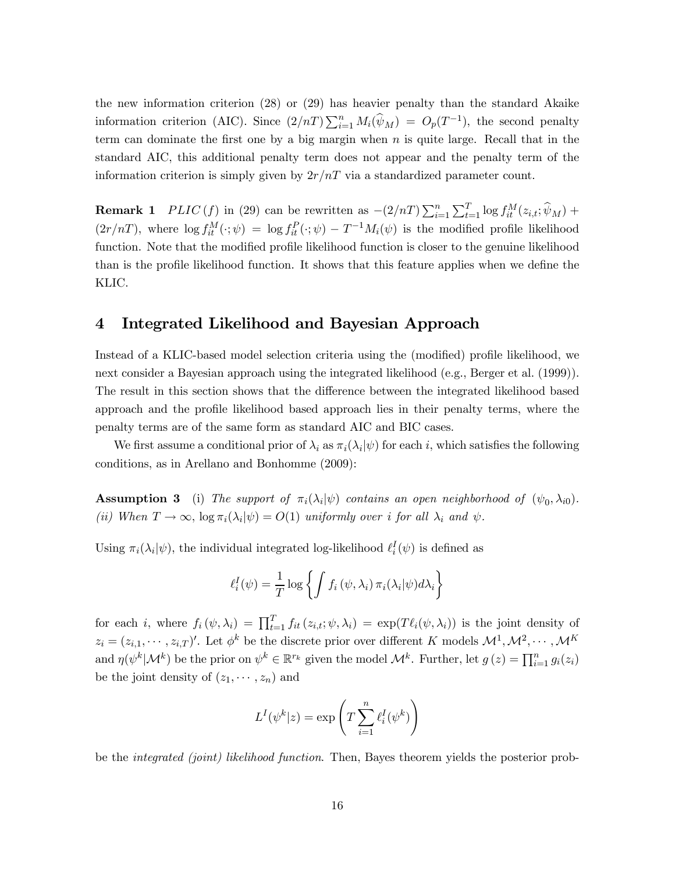the new information criterion (28) or (29) has heavier penalty than the standard Akaike information criterion (AIC). Since  $(2/nT)\sum_{i=1}^{n} M_i(\widehat{\psi}_M) = O_p(T^{-1})$ , the second penalty term can dominate the first one by a big margin when  $n$  is quite large. Recall that in the standard AIC, this additional penalty term does not appear and the penalty term of the information criterion is simply given by  $2r/nT$  via a standardized parameter count.

**Remark 1**  $PLIC(f)$  in (29) can be rewritten as  $-(2/nT)\sum_{i=1}^{n}\sum_{t=1}^{T}\log f_{it}^{M}(z_{i,t}; \hat{\psi}_{M}) +$  $(2r/nT)$ , where  $\log f_{it}^M(\cdot;\psi) = \log f_{it}^P(\cdot;\psi) - T^{-1}M_i(\psi)$  is the modified profile likelihood function. Note that the modified profile likelihood function is closer to the genuine likelihood than is the profile likelihood function. It shows that this feature applies when we define the KLIC.

### 4 Integrated Likelihood and Bayesian Approach

Instead of a KLIC-based model selection criteria using the (modified) profile likelihood, we next consider a Bayesian approach using the integrated likelihood (e.g., Berger et al. (1999)). The result in this section shows that the difference between the integrated likelihood based approach and the profile likelihood based approach lies in their penalty terms, where the penalty terms are of the same form as standard AIC and BIC cases.

We first assume a conditional prior of  $\lambda_i$  as  $\pi_i(\lambda_i|\psi)$  for each i, which satisfies the following conditions, as in Arellano and Bonhomme (2009):

**Assumption 3** (i) The support of  $\pi_i(\lambda_i|\psi)$  contains an open neighborhood of  $(\psi_0, \lambda_{i0})$ . (ii) When  $T \to \infty$ ,  $\log \pi_i(\lambda_i|\psi) = O(1)$  uniformly over *i* for all  $\lambda_i$  and  $\psi$ .

Using  $\pi_i(\lambda_i|\psi)$ , the individual integrated log-likelihood  $\ell_i^I(\psi)$  is defined as

$$
\ell_i^I(\psi) = \frac{1}{T} \log \left\{ \int f_i(\psi, \lambda_i) \, \pi_i(\lambda_i | \psi) d\lambda_i \right\}
$$

for each *i*, where  $f_i(\psi, \lambda_i) = \prod_{t=1}^T f_{it}(z_{i,t}; \psi, \lambda_i) = \exp(T\ell_i(\psi, \lambda_i))$  is the joint density of  $z_i = (z_{i,1}, \cdots, z_{i,T})'$ . Let  $\phi^k$  be the discrete prior over different K models  $\mathcal{M}^1, \mathcal{M}^2, \cdots, \mathcal{M}^K$ and  $\eta(\psi^k|\mathcal{M}^k)$  be the prior on  $\psi^k \in \mathbb{R}^{r_k}$  given the model  $\mathcal{M}^k$ . Further, let  $g(z) = \prod_{i=1}^n g_i(z_i)$ be the joint density of  $(z_1, \dots, z_n)$  and

$$
L^{I}(\psi^{k}|z) = \exp\left(T\sum_{i=1}^{n} \ell_{i}^{I}(\psi^{k})\right)
$$

be the integrated (joint) likelihood function. Then, Bayes theorem yields the posterior prob-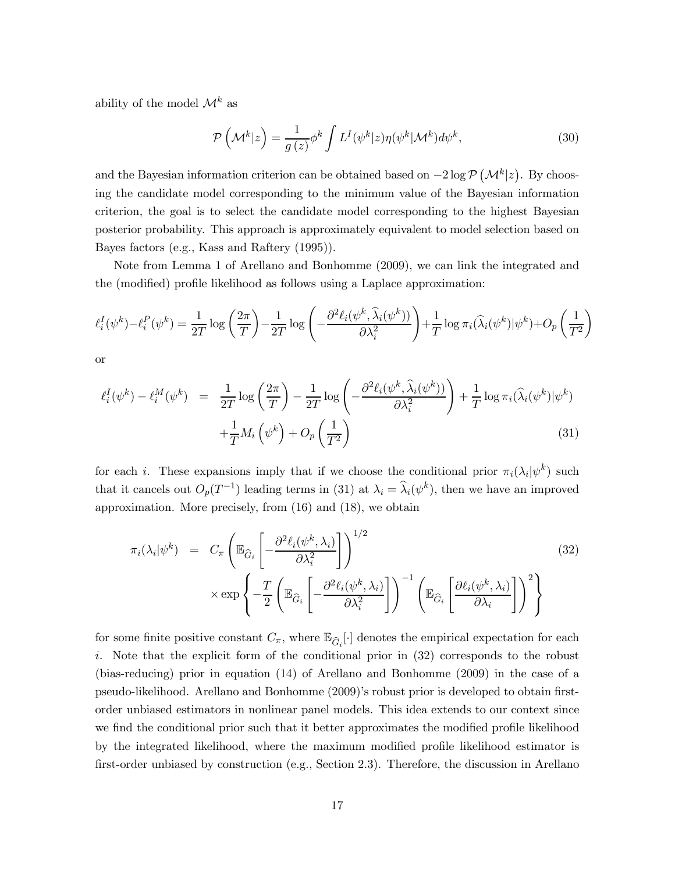ability of the model  $\mathcal{M}^k$  as

$$
\mathcal{P}\left(\mathcal{M}^k|z\right) = \frac{1}{g\left(z\right)}\phi^k \int L^I(\psi^k|z)\eta(\psi^k|\mathcal{M}^k)d\psi^k,\tag{30}
$$

and the Bayesian information criterion can be obtained based on  $-2 \log \mathcal{P}(\mathcal{M}^k|z)$ . By choosing the candidate model corresponding to the minimum value of the Bayesian information criterion, the goal is to select the candidate model corresponding to the highest Bayesian posterior probability. This approach is approximately equivalent to model selection based on Bayes factors (e.g., Kass and Raftery (1995)).

Note from Lemma 1 of Arellano and Bonhomme (2009), we can link the integrated and the (modified) profile likelihood as follows using a Laplace approximation:

$$
\ell_i^I(\psi^k) - \ell_i^P(\psi^k) = \frac{1}{2T} \log \left( \frac{2\pi}{T} \right) - \frac{1}{2T} \log \left( -\frac{\partial^2 \ell_i(\psi^k, \widehat{\lambda}_i(\psi^k))}{\partial \lambda_i^2} \right) + \frac{1}{T} \log \pi_i(\widehat{\lambda}_i(\psi^k)|\psi^k) + O_p\left( \frac{1}{T^2} \right)
$$

or

$$
\ell_i^I(\psi^k) - \ell_i^M(\psi^k) = \frac{1}{2T} \log \left( \frac{2\pi}{T} \right) - \frac{1}{2T} \log \left( -\frac{\partial^2 \ell_i(\psi^k, \widehat{\lambda}_i(\psi^k))}{\partial \lambda_i^2} \right) + \frac{1}{T} \log \pi_i(\widehat{\lambda}_i(\psi^k)|\psi^k) + \frac{1}{T} M_i(\psi^k) + O_p\left( \frac{1}{T^2} \right)
$$
\n(31)

for each i. These expansions imply that if we choose the conditional prior  $\pi_i(\lambda_i|\psi^k)$  such that it cancels out  $O_p(T^{-1})$  leading terms in (31) at  $\lambda_i = \hat{\lambda}_i(\psi^k)$ , then we have an improved approximation. More precisely, from (16) and (18), we obtain

$$
\pi_i(\lambda_i|\psi^k) = C_{\pi} \left( \mathbb{E}_{\widehat{G}_i} \left[ -\frac{\partial^2 \ell_i(\psi^k, \lambda_i)}{\partial \lambda_i^2} \right] \right)^{1/2} \times \exp \left\{ -\frac{T}{2} \left( \mathbb{E}_{\widehat{G}_i} \left[ -\frac{\partial^2 \ell_i(\psi^k, \lambda_i)}{\partial \lambda_i^2} \right] \right)^{-1} \left( \mathbb{E}_{\widehat{G}_i} \left[ \frac{\partial \ell_i(\psi^k, \lambda_i)}{\partial \lambda_i} \right] \right)^2 \right\}
$$
\n(32)

for some finite positive constant  $C_{\pi}$ , where  $\mathbb{E}_{\widehat{G}_i}[\cdot]$  denotes the empirical expectation for each . Note that the explicit form of the conditional prior in (32) corresponds to the robust (bias-reducing) prior in equation (14) of Arellano and Bonhomme (2009) in the case of a pseudo-likelihood. Arellano and Bonhomme (2009)'s robust prior is developed to obtain firstorder unbiased estimators in nonlinear panel models. This idea extends to our context since we find the conditional prior such that it better approximates the modified profile likelihood by the integrated likelihood, where the maximum modified profile likelihood estimator is first-order unbiased by construction (e.g., Section 2.3). Therefore, the discussion in Arellano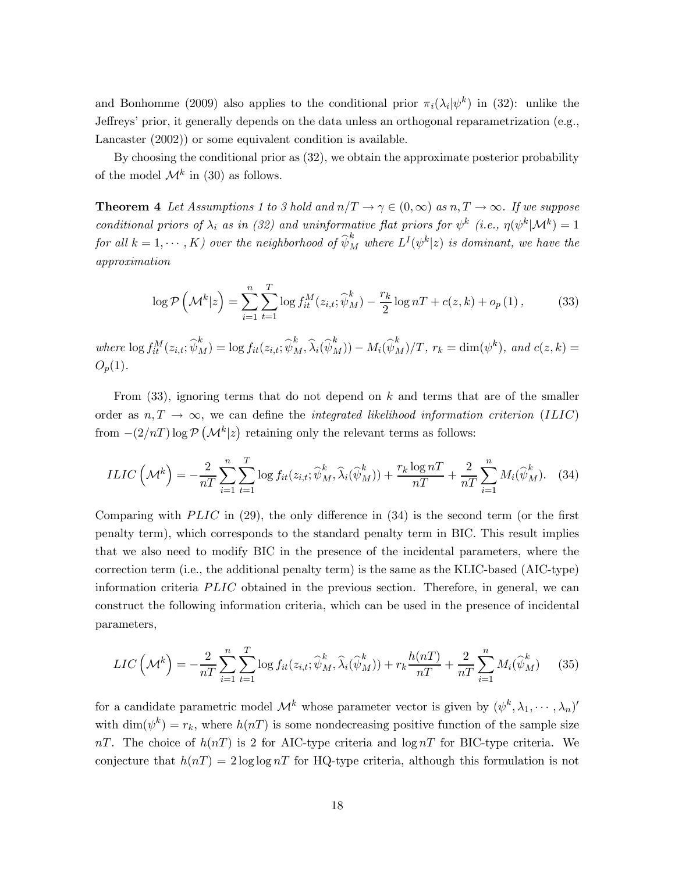and Bonhomme (2009) also applies to the conditional prior  $\pi_i(\lambda_i|\psi^k)$  in (32): unlike the Jeffreys' prior, it generally depends on the data unless an orthogonal reparametrization (e.g., Lancaster (2002)) or some equivalent condition is available.

By choosing the conditional prior as (32), we obtain the approximate posterior probability of the model  $\mathcal{M}^k$  in (30) as follows.

**Theorem 4** Let Assumptions 1 to 3 hold and  $n/T \rightarrow \gamma \in (0, \infty)$  as  $n, T \rightarrow \infty$ . If we suppose conditional priors of  $\lambda_i$  as in (32) and uninformative flat priors for  $\psi^k$  (i.e.,  $\eta(\psi^k|\mathcal{M}^k)=1$ for all  $k = 1, \dots, K$ ) over the neighborhood of  $\widehat{\psi}_M^k$  where  $L^I(\psi^k|z)$  is dominant, we have the approximation

$$
\log \mathcal{P}\left(\mathcal{M}^{k}|z\right) = \sum_{i=1}^{n} \sum_{t=1}^{T} \log f_{it}^{M}(z_{i,t}; \widehat{\psi}_{M}^{k}) - \frac{r_{k}}{2} \log nT + c(z, k) + o_{p}(1), \tag{33}
$$

where  $\log f_{it}^M(z_{i,t}; \widehat{\psi}_M^k) = \log f_{it}(z_{i,t}; \widehat{\psi}_M^k, \widehat{\lambda}_i(\widehat{\psi}_M^k)) - M_i(\widehat{\psi}_M^k)/T$ ,  $r_k = \dim(\psi^k)$ , and  $c(z, k) =$  $O_n(1)$ .

From  $(33)$ , ignoring terms that do not depend on k and terms that are of the smaller order as  $n, T \rightarrow \infty$ , we can define the *integrated likelihood information criterion* (ILIC) from  $-(2/nT) \log \mathcal{P}(\mathcal{M}^k|z)$  retaining only the relevant terms as follows:

$$
ILIC\left(\mathcal{M}^k\right) = -\frac{2}{nT} \sum_{i=1}^n \sum_{t=1}^T \log f_{it}(z_{i,t}; \widehat{\psi}_M^k, \widehat{\lambda}_i(\widehat{\psi}_M^k)) + \frac{r_k \log n}{nT} + \frac{2}{nT} \sum_{i=1}^n M_i(\widehat{\psi}_M^k).
$$
 (34)

Comparing with  $PLIC$  in (29), the only difference in (34) is the second term (or the first penalty term), which corresponds to the standard penalty term in BIC. This result implies that we also need to modify BIC in the presence of the incidental parameters, where the correction term (i.e., the additional penalty term) is the same as the KLIC-based (AIC-type) information criteria  $PLIC$  obtained in the previous section. Therefore, in general, we can construct the following information criteria, which can be used in the presence of incidental parameters,

$$
LIC\left(\mathcal{M}^k\right) = -\frac{2}{n}\sum_{i=1}^n\sum_{t=1}^T \log f_{it}(z_{i,t}; \widehat{\psi}_M^k, \widehat{\lambda}_i(\widehat{\psi}_M^k)) + r_k \frac{h(n)}{n} + \frac{2}{n}\sum_{i=1}^n M_i(\widehat{\psi}_M^k)
$$
(35)

for a candidate parametric model  $\mathcal{M}^k$  whose parameter vector is given by  $(\psi^k, \lambda_1, \dots, \lambda_n)'$ with dim( $\psi^k$ ) =  $r_k$ , where  $h(nT)$  is some nondecreasing positive function of the sample size  $nT$ . The choice of  $h(nT)$  is 2 for AIC-type criteria and log  $nT$  for BIC-type criteria. We conjecture that  $h(nT) = 2 \log \log nT$  for HQ-type criteria, although this formulation is not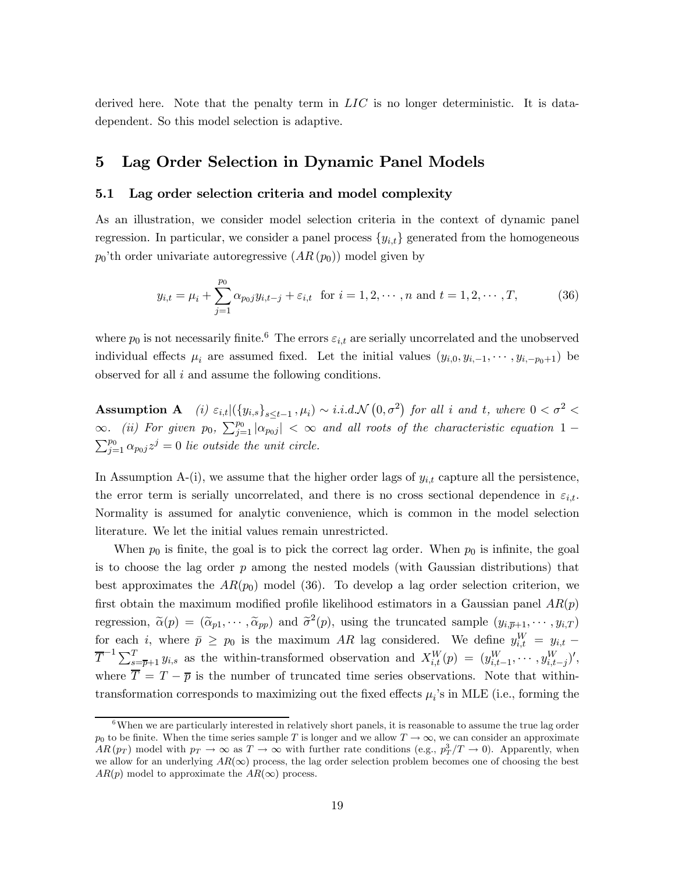derived here. Note that the penalty term in  $LIC$  is no longer deterministic. It is datadependent. So this model selection is adaptive.

## 5 Lag Order Selection in Dynamic Panel Models

#### 5.1 Lag order selection criteria and model complexity

As an illustration, we consider model selection criteria in the context of dynamic panel regression. In particular, we consider a panel process  ${y_{i,t}}$  generated from the homogeneous  $p_0'$ <sup>th</sup> order univariate autoregressive  $(AR(p_0))$  model given by

$$
y_{i,t} = \mu_i + \sum_{j=1}^{p_0} \alpha_{p_0j} y_{i,t-j} + \varepsilon_{i,t} \text{ for } i = 1, 2, \cdots, n \text{ and } t = 1, 2, \cdots, T,
$$
 (36)

where  $p_0$  is not necessarily finite.<sup>6</sup> The errors  $\varepsilon_{i,t}$  are serially uncorrelated and the unobserved individual effects  $\mu_i$  are assumed fixed. Let the initial values  $(y_{i,0}, y_{i,-1}, \dots, y_{i,-p_0+1})$  be observed for all  $i$  and assume the following conditions.

Assumption A (i)  $\varepsilon_{i,t} |({y_{i,s}})_{s \le t-1}, \mu_i) \sim i.i.d.\mathcal{N}(0, \sigma^2)$  for all i and t, where  $0 < \sigma^2 <$ ∞. (ii) For given  $p_0$ ,  $\sum_{j=1}^{p_0} |\alpha_{p_0j}| < \infty$  and all roots of the characteristic equation 1 –  $\sum_{i=1}^{p_0} \alpha_{p_0i} z^j = 0$  lie outside the unit circle.  $\sum_{j=1}^{p_0} \alpha_{p_0 j} z^j = 0$  lie outside the unit circle.

In Assumption A-(i), we assume that the higher order lags of  $y_{i,t}$  capture all the persistence, the error term is serially uncorrelated, and there is no cross sectional dependence in  $\varepsilon_{i,t}$ . Normality is assumed for analytic convenience, which is common in the model selection literature. We let the initial values remain unrestricted.

When  $p_0$  is finite, the goal is to pick the correct lag order. When  $p_0$  is infinite, the goal is to choose the lag order  $p$  among the nested models (with Gaussian distributions) that best approximates the  $AR(p_0)$  model (36). To develop a lag order selection criterion, we first obtain the maximum modified profile likelihood estimators in a Gaussian panel  $AR(p)$ regression,  $\tilde{\alpha}(p)=(\tilde{\alpha}_{p1},\cdots,\tilde{\alpha}_{pp})$  and  $\tilde{\sigma}^2(p)$ , using the truncated sample  $(y_{i,\overline{p}+1},\cdots,y_{i,T})$ for each i, where  $\bar{p} \geq p_0$  is the maximum AR lag considered. We define  $y_{i,t}^W = y_{i,t}$  $\overline{T}^{-1} \sum_{s=\overline{p}+1}^{T} y_{i,s}$  as the within-transformed observation and  $X_{i,t}^{W}(p) = (y_{i,t-1}^{W}, \cdots, y_{i,t-j}^{W})'$ , where  $\overline{T} = T - \overline{p}$  is the number of truncated time series observations. Note that withintransformation corresponds to maximizing out the fixed effects  $\mu_i$ 's in MLE (i.e., forming the

 $6$ When we are particularly interested in relatively short panels, it is reasonable to assume the true lag order  $p_0$  to be finite. When the time series sample T is longer and we allow  $T \to \infty$ , we can consider an approximate  $AR(p_T)$  model with  $p_T \to \infty$  as  $T \to \infty$  with further rate conditions (e.g.,  $p_T^3/T \to 0$ ). Apparently, when we allow for an underlying  $AR(\infty)$  process, the lag order selection problem becomes one of choosing the best  $AR(p)$  model to approximate the  $AR(\infty)$  process.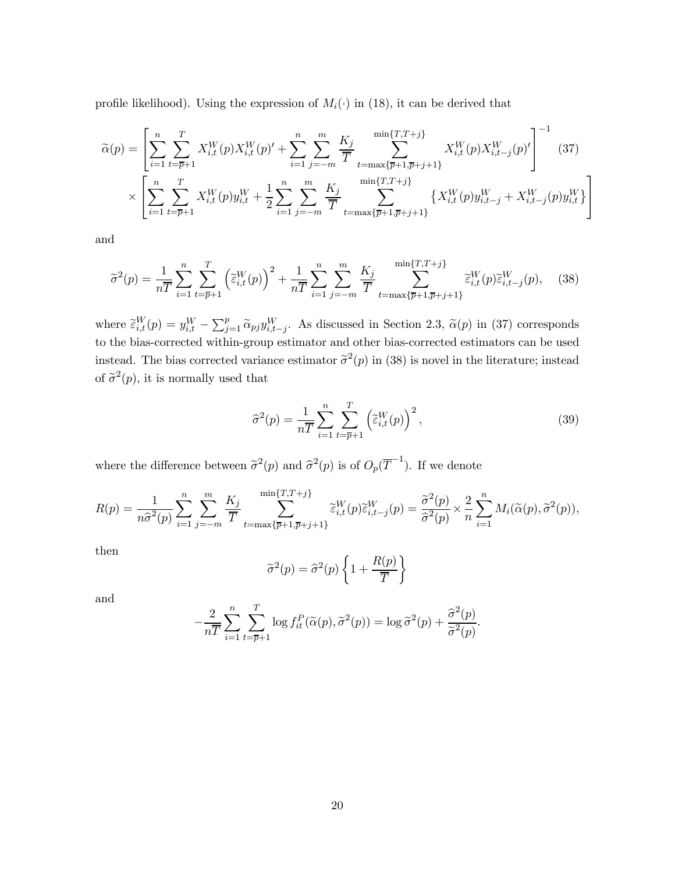profile likelihood). Using the expression of  $M_i(\cdot)$  in (18), it can be derived that

$$
\widetilde{\alpha}(p) = \left[ \sum_{i=1}^{n} \sum_{t=\overline{p}+1}^{T} X_{i,t}^{W}(p) X_{i,t}^{W}(p)' + \sum_{i=1}^{n} \sum_{j=-m}^{m} \frac{K_{j}}{\overline{T}} \sum_{t=\max\{\overline{p}+1,\overline{p}+j+1\}}^{\min\{T,T+j\}} X_{i,t}^{W}(p) X_{i,t-j}^{W}(p)'\right]^{-1} (37)
$$
\n
$$
\times \left[ \sum_{i=1}^{n} \sum_{t=\overline{p}+1}^{T} X_{i,t}^{W}(p) y_{i,t}^{W} + \frac{1}{2} \sum_{i=1}^{n} \sum_{j=-m}^{m} \frac{K_{j}}{\overline{T}} \sum_{t=\max\{\overline{p}+1,\overline{p}+j+1\}}^{\min\{T,T+j\}} \left\{ X_{i,t}^{W}(p) y_{i,t-j}^{W} + X_{i,t-j}^{W}(p) y_{i,t}^{W} \right\} \right]
$$

and

$$
\widetilde{\sigma}^2(p) = \frac{1}{n\overline{T}} \sum_{i=1}^n \sum_{t=\overline{p}+1}^T \left(\widetilde{\varepsilon}_{i,t}^W(p)\right)^2 + \frac{1}{n\overline{T}} \sum_{i=1}^n \sum_{j=-m}^m \frac{K_j}{\overline{T}} \sum_{t=\max\{\overline{p}+1,\overline{p}+j+1\}}^{\min\{T,T+j\}} \widetilde{\varepsilon}_{i,t}^W(p)\widetilde{\varepsilon}_{i,t-j}^W(p), \quad (38)
$$

where  $\tilde{\epsilon}_{i,t}^W(p) = y_{i,t}^W - \sum_{j=1}^p \tilde{\alpha}_{pj} y_{i,t-j}^W$ . As discussed in Section 2.3,  $\tilde{\alpha}(p)$  in (37) corresponds to the bias-corrected within-group estimator and other bias-corrected estimators can be used instead. The bias corrected variance estimator  $\tilde{\sigma}^2(p)$  in (38) is novel in the literature; instead of  $\tilde{\sigma}^2(p)$ , it is normally used that

$$
\widehat{\sigma}^2(p) = \frac{1}{n\overline{T}} \sum_{i=1}^n \sum_{t=\overline{p}+1}^T \left(\widetilde{\varepsilon}_{i,t}^W(p)\right)^2,\tag{39}
$$

where the difference between  $\tilde{\sigma}^2(p)$  and  $\hat{\sigma}^2(p)$  is of  $O_p(\overline{T}^{-1})$ . If we denote

$$
R(p) = \frac{1}{n\widehat{\sigma}^2(p)} \sum_{i=1}^n \sum_{j=-m}^m \frac{K_j}{\overline{T}} \sum_{t=\max\{\overline{p}+1,\overline{p}+j+1\}}^{\min\{T,T+j\}} \widetilde{\varepsilon}_{i,t}^W(p) \widetilde{\varepsilon}_{i,t-j}^W(p) = \frac{\widetilde{\sigma}^2(p)}{\widehat{\sigma}^2(p)} \times \frac{2}{n} \sum_{i=1}^n M_i(\widetilde{\alpha}(p),\widetilde{\sigma}^2(p)),
$$

then

$$
\widetilde{\sigma}^2(p) = \widehat{\sigma}^2(p) \left\{ 1 + \frac{R(p)}{\overline{T}} \right\}
$$

and

$$
-\frac{2}{n\overline{T}}\sum_{i=1}^n\sum_{t=\overline{p}+1}^T \log f_{it}^P(\widetilde{\alpha}(p),\widetilde{\sigma}^2(p)) = \log \widetilde{\sigma}^2(p) + \frac{\widehat{\sigma}^2(p)}{\widetilde{\sigma}^2(p)}.
$$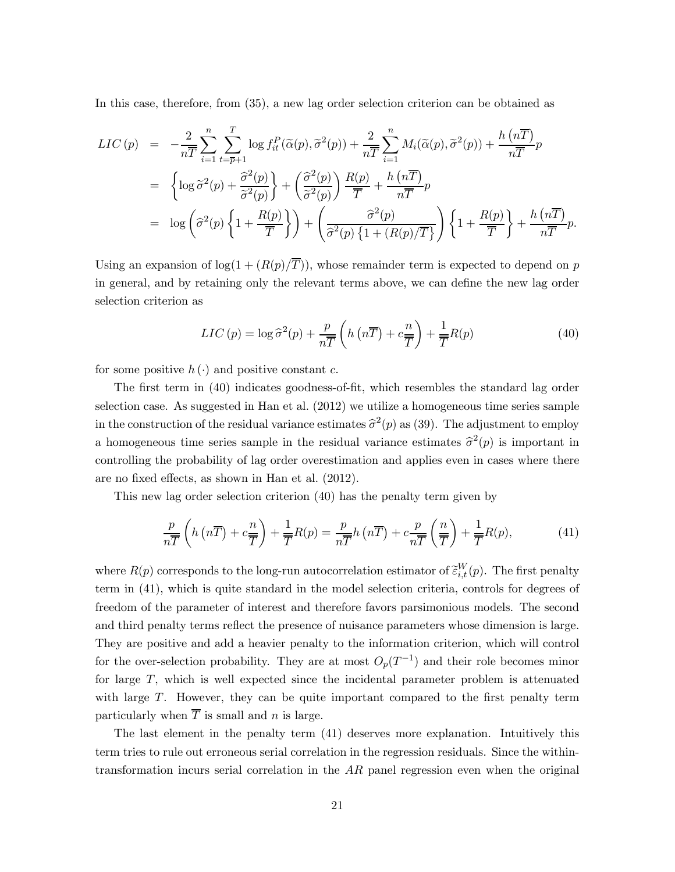In this case, therefore, from (35), a new lag order selection criterion can be obtained as

$$
LIC(p) = -\frac{2}{n\overline{T}} \sum_{i=1}^{n} \sum_{t=\overline{p}+1}^{T} \log f_{it}^{P}(\widetilde{\alpha}(p), \widetilde{\sigma}^{2}(p)) + \frac{2}{n\overline{T}} \sum_{i=1}^{n} M_{i}(\widetilde{\alpha}(p), \widetilde{\sigma}^{2}(p)) + \frac{h(n\overline{T})}{n\overline{T}} p
$$
  
\n
$$
= \left\{ \log \widetilde{\sigma}^{2}(p) + \frac{\widehat{\sigma}^{2}(p)}{\widetilde{\sigma}^{2}(p)} \right\} + \left( \frac{\widehat{\sigma}^{2}(p)}{\widetilde{\sigma}^{2}(p)} \right) \frac{R(p)}{\overline{T}} + \frac{h(n\overline{T})}{n\overline{T}} p
$$
  
\n
$$
= \log \left( \widehat{\sigma}^{2}(p) \left\{ 1 + \frac{R(p)}{\overline{T}} \right\} \right) + \left( \frac{\widehat{\sigma}^{2}(p)}{\widehat{\sigma}^{2}(p) \left\{ 1 + (R(p)/\overline{T} \right\}} \right) \left\{ 1 + \frac{R(p)}{\overline{T}} \right\} + \frac{h(n\overline{T})}{n\overline{T}} p.
$$

Using an expansion of  $\log(1 + (R(p)/\overline{T}))$ , whose remainder term is expected to depend on p in general, and by retaining only the relevant terms above, we can define the new lag order selection criterion as

$$
LIC(p) = \log \hat{\sigma}^2(p) + \frac{p}{n\overline{T}} \left( h\left(n\overline{T}\right) + c\frac{n}{\overline{T}} \right) + \frac{1}{\overline{T}} R(p) \tag{40}
$$

for some positive  $h(\cdot)$  and positive constant c.

The first term in (40) indicates goodness-of-fit, which resembles the standard lag order selection case. As suggested in Han et al. (2012) we utilize a homogeneous time series sample in the construction of the residual variance estimates  $\hat{\sigma}^2(p)$  as (39). The adjustment to employ a homogeneous time series sample in the residual variance estimates  $\hat{\sigma}^2(p)$  is important in controlling the probability of lag order overestimation and applies even in cases where there are no fixed effects, as shown in Han et al. (2012).

This new lag order selection criterion (40) has the penalty term given by

$$
\frac{p}{n\overline{T}}\left(h\left(n\overline{T}\right)+c\frac{n}{\overline{T}}\right)+\frac{1}{\overline{T}}R(p)=\frac{p}{n\overline{T}}h\left(n\overline{T}\right)+c\frac{p}{n\overline{T}}\left(\frac{n}{\overline{T}}\right)+\frac{1}{\overline{T}}R(p),\tag{41}
$$

where  $R(p)$  corresponds to the long-run autocorrelation estimator of  $\tilde{\epsilon}_{i,t}^{W}(p)$ . The first penalty term in (41), which is quite standard in the model selection criteria, controls for degrees of freedom of the parameter of interest and therefore favors parsimonious models. The second and third penalty terms reflect the presence of nuisance parameters whose dimension is large. They are positive and add a heavier penalty to the information criterion, which will control for the over-selection probability. They are at most  $O_p(T^{-1})$  and their role becomes minor for large  $T$ , which is well expected since the incidental parameter problem is attenuated with large  $T$ . However, they can be quite important compared to the first penalty term particularly when  $\overline{T}$  is small and *n* is large.

The last element in the penalty term (41) deserves more explanation. Intuitively this term tries to rule out erroneous serial correlation in the regression residuals. Since the withintransformation incurs serial correlation in the  $AR$  panel regression even when the original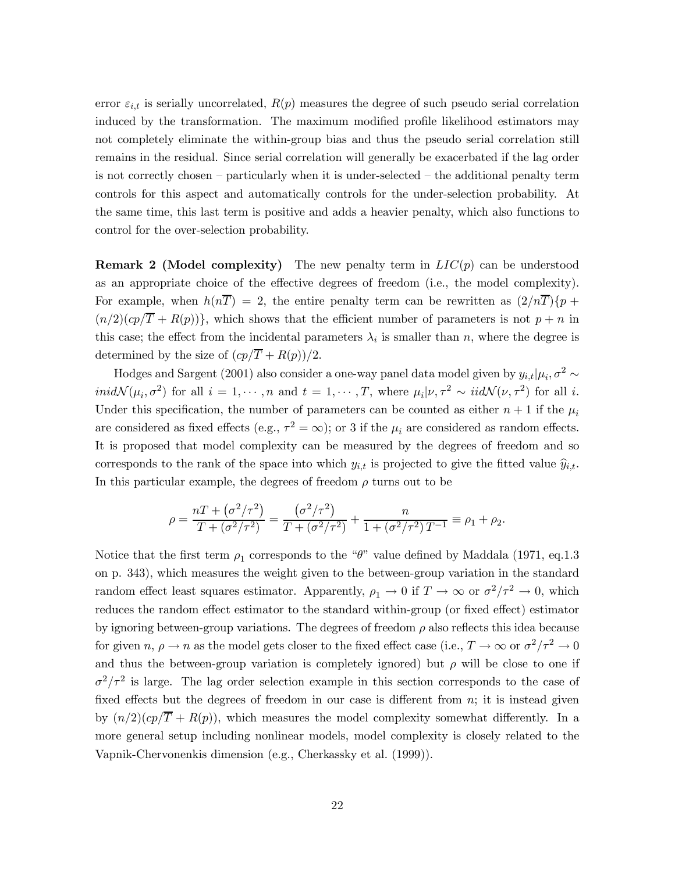error  $\varepsilon_{i,t}$  is serially uncorrelated,  $R(p)$  measures the degree of such pseudo serial correlation induced by the transformation. The maximum modified profile likelihood estimators may not completely eliminate the within-group bias and thus the pseudo serial correlation still remains in the residual. Since serial correlation will generally be exacerbated if the lag order is not correctly chosen — particularly when it is under-selected — the additional penalty term controls for this aspect and automatically controls for the under-selection probability. At the same time, this last term is positive and adds a heavier penalty, which also functions to control for the over-selection probability.

**Remark 2 (Model complexity)** The new penalty term in  $LI C(p)$  can be understood as an appropriate choice of the effective degrees of freedom (i.e., the model complexity). For example, when  $h(n\overline{T})=2$ , the entire penalty term can be rewritten as  $(2/n\overline{T})\{p+1\}$  $(n/2)(cp/\overline{T} + R(p))\},$  which shows that the efficient number of parameters is not  $p + n$  in this case; the effect from the incidental parameters  $\lambda_i$  is smaller than n, where the degree is determined by the size of  $\frac{cp}{\overline{T}} + \frac{R(p)}{2}$ .

Hodges and Sargent (2001) also consider a one-way panel data model given by  $y_{i,t} | \mu_i, \sigma^2 \sim$  $\text{ind}\mathcal{N}(\mu_i,\sigma^2)$  for all  $i=1,\cdots,n$  and  $t=1,\cdots,T$ , where  $\mu_i|\nu,\tau^2 \sim \text{iid}\mathcal{N}(\nu,\tau^2)$  for all i. Under this specification, the number of parameters can be counted as either  $n+1$  if the  $\mu_i$ are considered as fixed effects (e.g.,  $\tau^2 = \infty$ ); or 3 if the  $\mu_i$  are considered as random effects. It is proposed that model complexity can be measured by the degrees of freedom and so corresponds to the rank of the space into which  $y_{i,t}$  is projected to give the fitted value  $\hat{y}_{i,t}$ . In this particular example, the degrees of freedom  $\rho$  turns out to be

$$
\rho = \frac{nT + (\sigma^2/\tau^2)}{T + (\sigma^2/\tau^2)} = \frac{(\sigma^2/\tau^2)}{T + (\sigma^2/\tau^2)} + \frac{n}{1 + (\sigma^2/\tau^2)T^{-1}} \equiv \rho_1 + \rho_2.
$$

Notice that the first term  $\rho_1$  corresponds to the " $\theta$ " value defined by Maddala (1971, eq.1.3) on p. 343), which measures the weight given to the between-group variation in the standard random effect least squares estimator. Apparently,  $\rho_1 \to 0$  if  $T \to \infty$  or  $\sigma^2/\tau^2 \to 0$ , which reduces the random effect estimator to the standard within-group (or fixed effect) estimator by ignoring between-group variations. The degrees of freedom  $\rho$  also reflects this idea because for given  $n, \rho \to n$  as the model gets closer to the fixed effect case (i.e.,  $T \to \infty$  or  $\sigma^2/\tau^2 \to 0$ and thus the between-group variation is completely ignored) but  $\rho$  will be close to one if  $\sigma^2/\tau^2$  is large. The lag order selection example in this section corresponds to the case of fixed effects but the degrees of freedom in our case is different from  $n$ ; it is instead given by  $(n/2)(cp/\overline{T} + R(p))$ , which measures the model complexity somewhat differently. In a more general setup including nonlinear models, model complexity is closely related to the Vapnik-Chervonenkis dimension (e.g., Cherkassky et al. (1999)).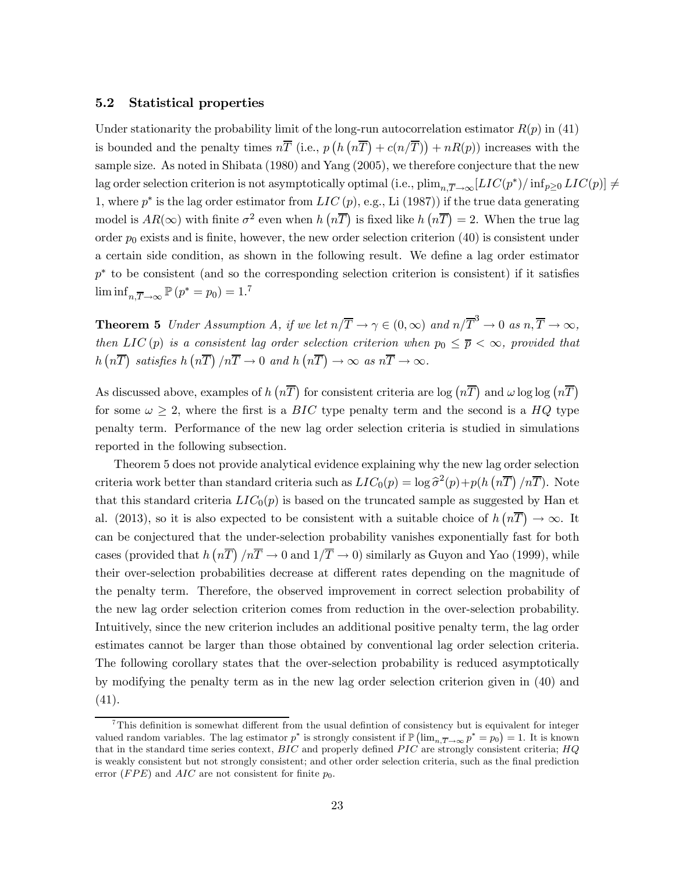#### 5.2 Statistical properties

Under stationarity the probability limit of the long-run autocorrelation estimator  $R(p)$  in (41) is bounded and the penalty times  $n\bar{T}$  (i.e.,  $p(h(n\bar{T}) + c(n/\bar{T})) + nR(p)$ ) increases with the sample size. As noted in Shibata (1980) and Yang (2005), we therefore conjecture that the new lag order selection criterion is not asymptotically optimal (i.e.,  $\text{plim}_{n,\overline{T}\to\infty}[LIC(p^*)/\text{inf}_{p\geq 0} LIC(p)] \neq$ 1, where  $p^*$  is the lag order estimator from  $LIC(p)$ , e.g., Li (1987)) if the true data generating model is  $AR(\infty)$  with finite  $\sigma^2$  even when  $h(n\overline{T})$  is fixed like  $h(n\overline{T}) = 2$ . When the true lag order  $p_0$  exists and is finite, however, the new order selection criterion (40) is consistent under a certain side condition, as shown in the following result. We define a lag order estimator  $p^*$  to be consistent (and so the corresponding selection criterion is consistent) if it satisfies  $\liminf_{n,\overline{T}\to\infty} \mathbb{P}(p^* = p_0) = 1.7$ 

**Theorem 5** Under Assumption A, if we let  $n/\overline{T} \to \gamma \in (0,\infty)$  and  $n/\overline{T}^3 \to 0$  as  $n,\overline{T} \to \infty$ , then LIC(p) is a consistent lag order selection criterion when  $p_0 \leq \overline{p} < \infty$ , provided that  $h\left(n\overline{T}\right)$  satisfies  $h\left(n\overline{T}\right)/n\overline{T} \to 0$  and  $h\left(n\overline{T}\right) \to \infty$  as  $n\overline{T} \to \infty$ .

As discussed above, examples of  $h(n\overline{T})$  for consistent criteria are log  $(n\overline{T})$  and  $\omega \log \log (n\overline{T})$ for some  $\omega \geq 2$ , where the first is a BIC type penalty term and the second is a HQ type penalty term. Performance of the new lag order selection criteria is studied in simulations reported in the following subsection.

Theorem 5 does not provide analytical evidence explaining why the new lag order selection criteria work better than standard criteria such as  $LIC_0(p) = \log \hat{\sigma}^2(p) + p(h(n\overline{T})/n\overline{T})$ . Note that this standard criteria  $LIC_0(p)$  is based on the truncated sample as suggested by Han et al. (2013), so it is also expected to be consistent with a suitable choice of  $h(n\overline{T}) \to \infty$ . It can be conjectured that the under-selection probability vanishes exponentially fast for both cases (provided that  $h(n\overline{T})/n\overline{T} \to 0$  and  $1/\overline{T} \to 0$ ) similarly as Guyon and Yao (1999), while their over-selection probabilities decrease at different rates depending on the magnitude of the penalty term. Therefore, the observed improvement in correct selection probability of the new lag order selection criterion comes from reduction in the over-selection probability. Intuitively, since the new criterion includes an additional positive penalty term, the lag order estimates cannot be larger than those obtained by conventional lag order selection criteria. The following corollary states that the over-selection probability is reduced asymptotically by modifying the penalty term as in the new lag order selection criterion given in (40) and (41).

<sup>&</sup>lt;sup>7</sup>This definition is somewhat different from the usual definition of consistency but is equivalent for integer valued random variables. The lag estimator  $p^*$  is strongly consistent if  $\mathbb{P}\left(\lim_{n,\overline{T}\to\infty}p^*=p_0\right)=1$ . It is known that in the standard time series context,  $BIC$  and properly defined  $PIC$  are strongly consistent criteria;  $HQ$ is weakly consistent but not strongly consistent; and other order selection criteria, such as the final prediction error ( $FPE$ ) and  $AIC$  are not consistent for finite  $p_0$ .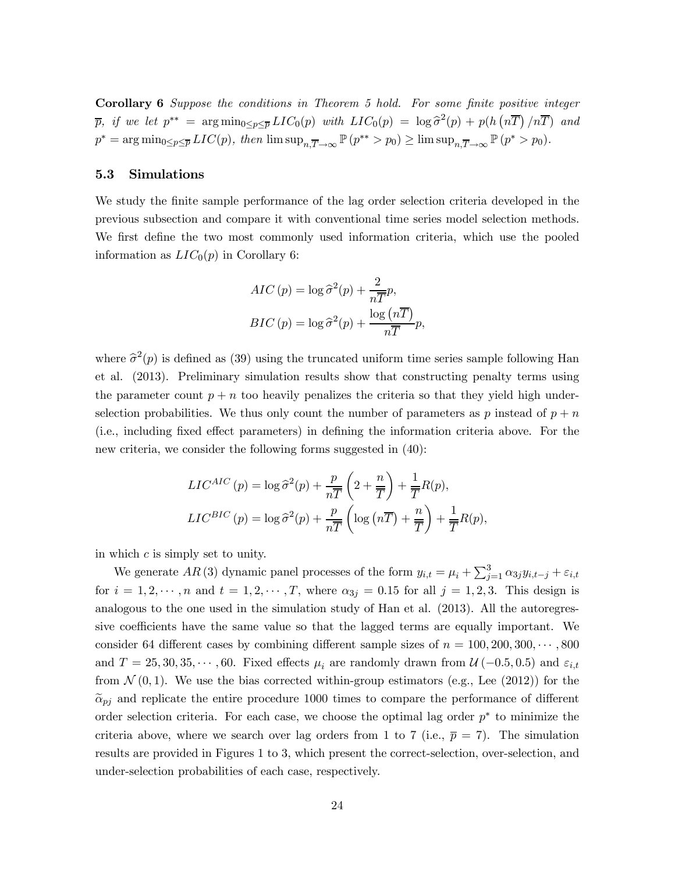Corollary 6 Suppose the conditions in Theorem 5 hold. For some finite positive integer  $\overline{p}$ , if we let  $p^{**} = \arg \min_{0 \le p \le \overline{p}} LIC_0(p)$  with  $LIC_0(p) = \log \widehat{\sigma}^2(p) + p(h(n\overline{T})/n\overline{T})$  and  $p^* = \arg\min_{0 \le p \le \overline{p}} LIC(p)$ , then  $\limsup_{n,\overline{T} \to \infty} \mathbb{P}(p^{**} > p_0) \ge \limsup_{n,\overline{T} \to \infty} \mathbb{P}(p^* > p_0)$ .

### 5.3 Simulations

We study the finite sample performance of the lag order selection criteria developed in the previous subsection and compare it with conventional time series model selection methods. We first define the two most commonly used information criteria, which use the pooled information as  $LIC_0(p)$  in Corollary 6:

$$
AIC(p) = \log \hat{\sigma}^{2}(p) + \frac{2}{n\overline{T}}p,
$$
  

$$
BIC(p) = \log \hat{\sigma}^{2}(p) + \frac{\log (n\overline{T})}{n\overline{T}}p,
$$

where  $\hat{\sigma}^2(p)$  is defined as (39) using the truncated uniform time series sample following Han et al. (2013). Preliminary simulation results show that constructing penalty terms using the parameter count  $p + n$  too heavily penalizes the criteria so that they yield high underselection probabilities. We thus only count the number of parameters as p instead of  $p + n$ (i.e., including fixed effect parameters) in defining the information criteria above. For the new criteria, we consider the following forms suggested in (40):

$$
LIC^{AIC}(p) = \log \hat{\sigma}^2(p) + \frac{p}{n\overline{T}} \left( 2 + \frac{n}{\overline{T}} \right) + \frac{1}{\overline{T}} R(p),
$$
  

$$
LIC^{BIC}(p) = \log \hat{\sigma}^2(p) + \frac{p}{n\overline{T}} \left( \log (n\overline{T}) + \frac{n}{\overline{T}} \right) + \frac{1}{\overline{T}} R(p),
$$

in which  $c$  is simply set to unity.

We generate  $AR(3)$  dynamic panel processes of the form  $y_{i,t} = \mu_i + \sum_{j=1}^3 \alpha_{3j} y_{i,t-j} + \varepsilon_{i,t}$ for  $i = 1, 2, \dots, n$  and  $t = 1, 2, \dots, T$ , where  $\alpha_{3j} = 0.15$  for all  $j = 1, 2, 3$ . This design is analogous to the one used in the simulation study of Han et al. (2013). All the autoregressive coefficients have the same value so that the lagged terms are equally important. We consider 64 different cases by combining different sample sizes of  $n = 100, 200, 300, \cdots, 800$ and  $T = 25, 30, 35, \cdots, 60$ . Fixed effects  $\mu_i$  are randomly drawn from  $\mathcal{U}(-0.5, 0.5)$  and  $\varepsilon_{i,t}$ from  $\mathcal{N}(0,1)$ . We use the bias corrected within-group estimators (e.g., Lee (2012)) for the  $\tilde{\alpha}_{pj}$  and replicate the entire procedure 1000 times to compare the performance of different order selection criteria. For each case, we choose the optimal lag order  $p^*$  to minimize the criteria above, where we search over lag orders from 1 to 7 (i.e.,  $\bar{p} = 7$ ). The simulation results are provided in Figures 1 to 3, which present the correct-selection, over-selection, and under-selection probabilities of each case, respectively.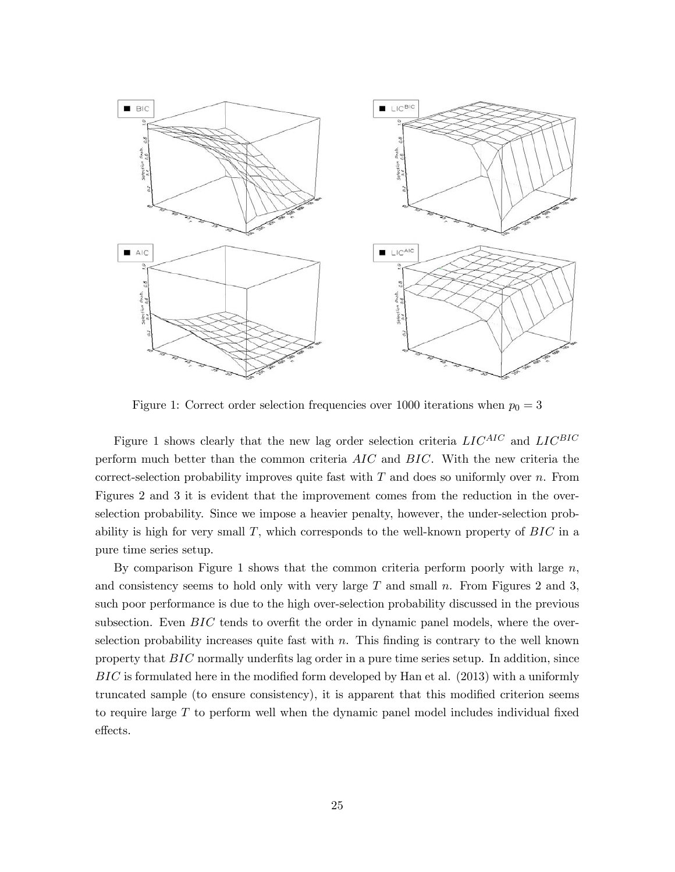

Figure 1: Correct order selection frequencies over 1000 iterations when  $p_0 = 3$ 

Figure 1 shows clearly that the new lag order selection criteria  $LIC^{AIC}$  and  $LIC^{BIC}$ perform much better than the common criteria  $AIC$  and  $BIC$ . With the new criteria the correct-selection probability improves quite fast with  $T$  and does so uniformly over  $n$ . From Figures 2 and 3 it is evident that the improvement comes from the reduction in the overselection probability. Since we impose a heavier penalty, however, the under-selection probability is high for very small  $T$ , which corresponds to the well-known property of  $BIC$  in a pure time series setup.

By comparison Figure 1 shows that the common criteria perform poorly with large  $n$ , and consistency seems to hold only with very large  $T$  and small  $n$ . From Figures 2 and 3, such poor performance is due to the high over-selection probability discussed in the previous subsection. Even  $BIC$  tends to overfit the order in dynamic panel models, where the overselection probability increases quite fast with  $n$ . This finding is contrary to the well known property that  $BIC$  normally underfits lag order in a pure time series setup. In addition, since  $BIC$  is formulated here in the modified form developed by Han et al. (2013) with a uniformly truncated sample (to ensure consistency), it is apparent that this modified criterion seems to require large  $T$  to perform well when the dynamic panel model includes individual fixed effects.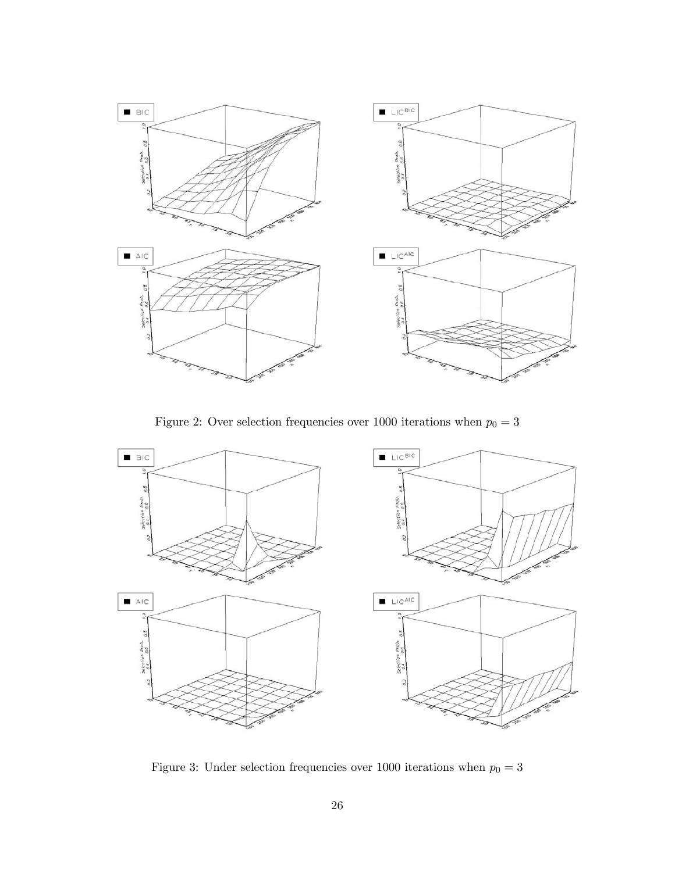

Figure 2: Over selection frequencies over 1000 iterations when  $p_0 = 3$ 



Figure 3: Under selection frequencies over 1000 iterations when  $p_0 = 3$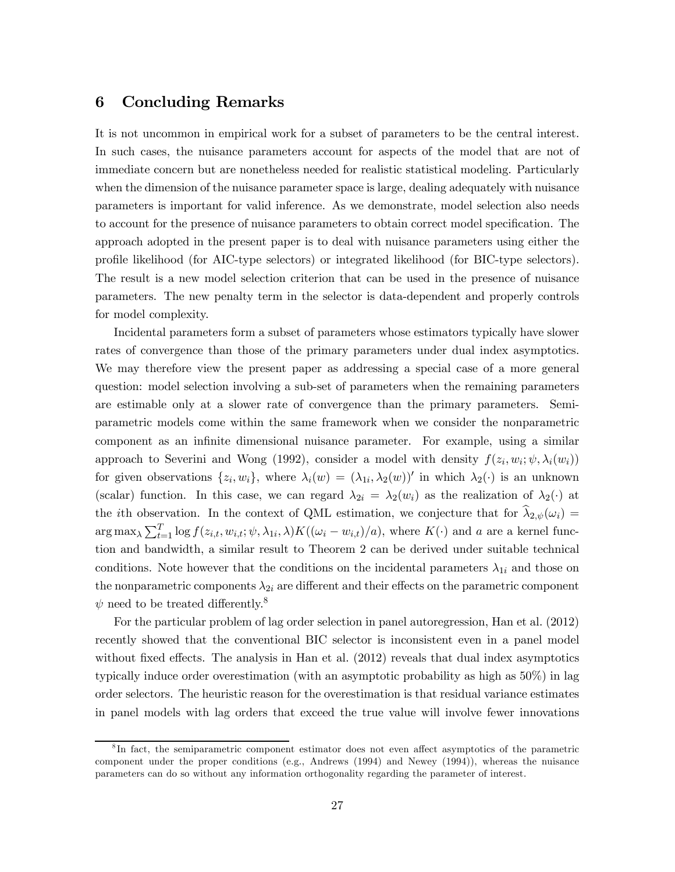## 6 Concluding Remarks

It is not uncommon in empirical work for a subset of parameters to be the central interest. In such cases, the nuisance parameters account for aspects of the model that are not of immediate concern but are nonetheless needed for realistic statistical modeling. Particularly when the dimension of the nuisance parameter space is large, dealing adequately with nuisance parameters is important for valid inference. As we demonstrate, model selection also needs to account for the presence of nuisance parameters to obtain correct model specification. The approach adopted in the present paper is to deal with nuisance parameters using either the profile likelihood (for AIC-type selectors) or integrated likelihood (for BIC-type selectors). The result is a new model selection criterion that can be used in the presence of nuisance parameters. The new penalty term in the selector is data-dependent and properly controls for model complexity.

Incidental parameters form a subset of parameters whose estimators typically have slower rates of convergence than those of the primary parameters under dual index asymptotics. We may therefore view the present paper as addressing a special case of a more general question: model selection involving a sub-set of parameters when the remaining parameters are estimable only at a slower rate of convergence than the primary parameters. Semiparametric models come within the same framework when we consider the nonparametric component as an infinite dimensional nuisance parameter. For example, using a similar approach to Severini and Wong (1992), consider a model with density  $f(z_i, w_i; \psi, \lambda_i(w_i))$ for given observations  $\{z_i, w_i\}$ , where  $\lambda_i(w)=(\lambda_{1i}, \lambda_2(w))'$  in which  $\lambda_2(\cdot)$  is an unknown (scalar) function. In this case, we can regard  $\lambda_{2i} = \lambda_2(w_i)$  as the realization of  $\lambda_2(\cdot)$  at the *i*th observation. In the context of QML estimation, we conjecture that for  $\hat{\lambda}_{2,\psi}(\omega_i)$  $\arg \max_{\lambda} \sum_{t=1}^{T} \log f(z_{i,t}, w_{i,t}; \psi, \lambda_{1i}, \lambda) K((\omega_i - w_{i,t})/a),$  where  $K(\cdot)$  and a are a kernel function and bandwidth, a similar result to Theorem 2 can be derived under suitable technical conditions. Note however that the conditions on the incidental parameters  $\lambda_{1i}$  and those on the nonparametric components  $\lambda_{2i}$  are different and their effects on the parametric component  $\psi$  need to be treated differently.<sup>8</sup>

For the particular problem of lag order selection in panel autoregression, Han et al. (2012) recently showed that the conventional BIC selector is inconsistent even in a panel model without fixed effects. The analysis in Han et al. (2012) reveals that dual index asymptotics typically induce order overestimation (with an asymptotic probability as high as 50%) in lag order selectors. The heuristic reason for the overestimation is that residual variance estimates in panel models with lag orders that exceed the true value will involve fewer innovations

<sup>&</sup>lt;sup>8</sup>In fact, the semiparametric component estimator does not even affect asymptotics of the parametric component under the proper conditions (e.g., Andrews (1994) and Newey (1994)), whereas the nuisance parameters can do so without any information orthogonality regarding the parameter of interest.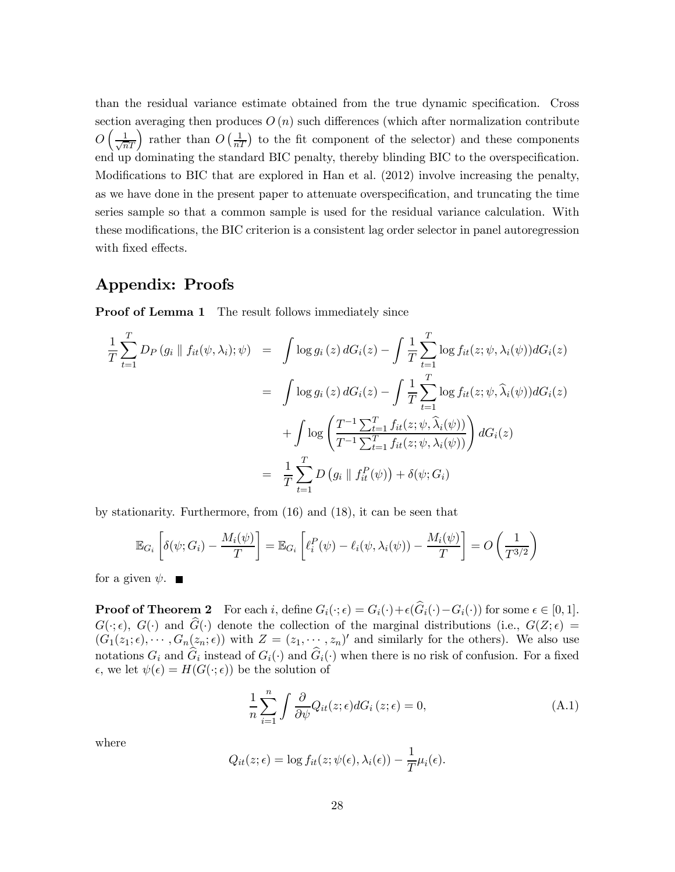than the residual variance estimate obtained from the true dynamic specification. Cross section averaging then produces  $O(n)$  such differences (which after normalization contribute  $O\left(\frac{1}{\sqrt{n}T}\right)$  rather than  $O\left(\frac{1}{nT}\right)$  to the fit component of the selector) and these components end up dominating the standard BIC penalty, thereby blinding BIC to the overspecification. Modifications to BIC that are explored in Han et al. (2012) involve increasing the penalty, as we have done in the present paper to attenuate overspecification, and truncating the time series sample so that a common sample is used for the residual variance calculation. With these modifications, the BIC criterion is a consistent lag order selector in panel autoregression with fixed effects.

## Appendix: Proofs

**Proof of Lemma 1** The result follows immediately since

$$
\frac{1}{T} \sum_{t=1}^{T} D_P(g_i \parallel f_{it}(\psi, \lambda_i); \psi) = \int \log g_i(z) dG_i(z) - \int \frac{1}{T} \sum_{t=1}^{T} \log f_{it}(z; \psi, \lambda_i(\psi)) dG_i(z)
$$
\n
$$
= \int \log g_i(z) dG_i(z) - \int \frac{1}{T} \sum_{t=1}^{T} \log f_{it}(z; \psi, \widehat{\lambda}_i(\psi)) dG_i(z)
$$
\n
$$
+ \int \log \left( \frac{T^{-1} \sum_{t=1}^{T} f_{it}(z; \psi, \widehat{\lambda}_i(\psi))}{T^{-1} \sum_{t=1}^{T} f_{it}(z; \psi, \lambda_i(\psi))} \right) dG_i(z)
$$
\n
$$
= \frac{1}{T} \sum_{t=1}^{T} D(g_i \parallel f_{it}^P(\psi)) + \delta(\psi; G_i)
$$

by stationarity. Furthermore, from (16) and (18), it can be seen that

$$
\mathbb{E}_{G_i}\left[\delta(\psi; G_i) - \frac{M_i(\psi)}{T}\right] = \mathbb{E}_{G_i}\left[\ell_i^P(\psi) - \ell_i(\psi, \lambda_i(\psi)) - \frac{M_i(\psi)}{T}\right] = O\left(\frac{1}{T^{3/2}}\right)
$$

for a given  $\psi$ .

**Proof of Theorem 2** For each i, define  $G_i(\cdot; \epsilon) = G_i(\cdot) + \epsilon(\widehat{G}_i(\cdot) - G_i(\cdot))$  for some  $\epsilon \in [0, 1]$ .  $G(\cdot; \epsilon)$ ,  $G(\cdot)$  and  $\hat{G}(\cdot)$  denote the collection of the marginal distributions (i.e.,  $G(Z; \epsilon)$ )  $(G_1(z_1;\epsilon),\cdots,G_n(z_n;\epsilon))$  with  $Z=(z_1,\cdots,z_n)'$  and similarly for the others). We also use notations  $G_i$  and  $\hat{G}_i$  instead of  $G_i(\cdot)$  and  $\hat{G}_i(\cdot)$  when there is no risk of confusion. For a fixed  $\epsilon$ , we let  $\psi(\epsilon) = H(G(\cdot; \epsilon))$  be the solution of

$$
\frac{1}{n}\sum_{i=1}^{n} \int \frac{\partial}{\partial \psi} Q_{it}(z;\epsilon) dG_{i}(z;\epsilon) = 0, \tag{A.1}
$$

where

$$
Q_{it}(z;\epsilon) = \log f_{it}(z;\psi(\epsilon),\lambda_i(\epsilon)) - \frac{1}{T}\mu_i(\epsilon).
$$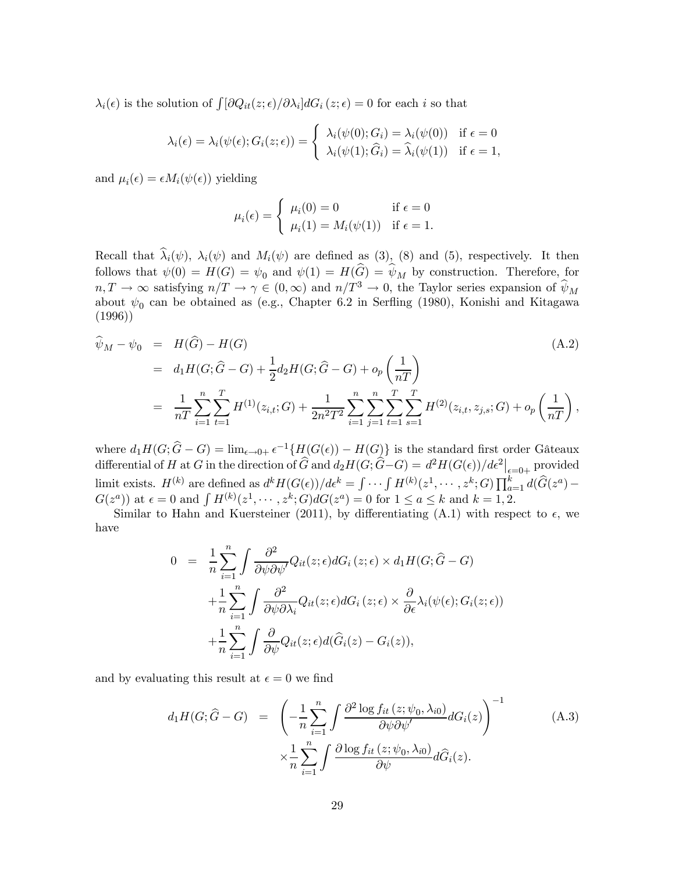$\lambda_i(\epsilon)$  is the solution of  $\int [\partial Q_{it}(z;\epsilon)/\partial \lambda_i] dG_i(z;\epsilon) = 0$  for each *i* so that

$$
\lambda_i(\epsilon) = \lambda_i(\psi(\epsilon); G_i(z; \epsilon)) = \begin{cases} \lambda_i(\psi(0); G_i) = \lambda_i(\psi(0)) & \text{if } \epsilon = 0 \\ \lambda_i(\psi(1); \widehat{G}_i) = \widehat{\lambda}_i(\psi(1)) & \text{if } \epsilon = 1, \end{cases}
$$

and  $\mu_i(\epsilon) = \epsilon M_i(\psi(\epsilon))$  yielding

$$
\mu_i(\epsilon) = \begin{cases} \mu_i(0) = 0 & \text{if } \epsilon = 0 \\ \mu_i(1) = M_i(\psi(1)) & \text{if } \epsilon = 1. \end{cases}
$$

Recall that  $\hat{\lambda}_i(\psi)$ ,  $\lambda_i(\psi)$  and  $M_i(\psi)$  are defined as (3), (8) and (5), respectively. It then follows that  $\psi(0) = H(G) = \psi_0$  and  $\psi(1) = H(\widehat{G}) = \widehat{\psi}_M$  by construction. Therefore, for  $n, T \to \infty$  satisfying  $n/T \to \gamma \in (0, \infty)$  and  $n/T^3 \to 0$ , the Taylor series expansion of  $\hat{\psi}_M$ about  $\psi_0$  can be obtained as (e.g., Chapter 6.2 in Serfling (1980), Konishi and Kitagawa (1996))

$$
\begin{split} \widehat{\psi}_M - \psi_0 &= H(\widehat{G}) - H(G) \tag{A.2} \\ &= d_1 H(G; \widehat{G} - G) + \frac{1}{2} d_2 H(G; \widehat{G} - G) + o_p \left(\frac{1}{nT}\right) \\ &= \frac{1}{nT} \sum_{i=1}^n \sum_{t=1}^T H^{(1)}(z_{i,t}; G) + \frac{1}{2n^2 T^2} \sum_{i=1}^n \sum_{j=1}^n \sum_{t=1}^T \sum_{s=1}^T H^{(2)}(z_{i,t}, z_{j,s}; G) + o_p \left(\frac{1}{nT}\right), \end{split}
$$

where  $d_1H(G; \hat{G} - G) = \lim_{\epsilon \to 0+} \epsilon^{-1}\{H(G(\epsilon)) - H(G)\}\$ is the standard first order Gâteaux differential of H at G in the direction of  $\widehat{G}$  and  $d_2H(G;\widehat{G}-G) = d^2H(G(\epsilon))/d\epsilon^2|_{\epsilon=0+}$  provided limit exists.  $H^{(k)}$  are defined as  $d^k H(G(\epsilon))/d\epsilon^k = \int \cdots \int H^{(k)}(z^1,\cdots,z^k;G) \prod_{a=1}^k d(\widehat{G}(z^a) G(z^a)$  at  $\epsilon = 0$  and  $\int H^{(k)}(z^1, \dots, z^k; G)dG(z^a) = 0$  for  $1 \le a \le k$  and  $k = 1, 2$ .

Similar to Hahn and Kuersteiner (2011), by differentiating (A.1) with respect to  $\epsilon$ , we have

$$
0 = \frac{1}{n} \sum_{i=1}^{n} \int \frac{\partial^2}{\partial \psi \partial \psi'} Q_{it}(z; \epsilon) dG_i(z; \epsilon) \times d_1 H(G; \hat{G} - G)
$$
  
+ 
$$
\frac{1}{n} \sum_{i=1}^{n} \int \frac{\partial^2}{\partial \psi \partial \lambda_i} Q_{it}(z; \epsilon) dG_i(z; \epsilon) \times \frac{\partial}{\partial \epsilon} \lambda_i(\psi(\epsilon); G_i(z; \epsilon))
$$
  
+ 
$$
\frac{1}{n} \sum_{i=1}^{n} \int \frac{\partial}{\partial \psi} Q_{it}(z; \epsilon) d(\hat{G}_i(z) - G_i(z)),
$$

and by evaluating this result at  $\epsilon = 0$  we find

$$
d_1H(G; \hat{G} - G) = \left(-\frac{1}{n} \sum_{i=1}^n \int \frac{\partial^2 \log f_{it}(z; \psi_0, \lambda_{i0})}{\partial \psi \partial \psi'} dG_i(z)\right)^{-1} \qquad (A.3)
$$

$$
\times \frac{1}{n} \sum_{i=1}^n \int \frac{\partial \log f_{it}(z; \psi_0, \lambda_{i0})}{\partial \psi} d\hat{G}_i(z).
$$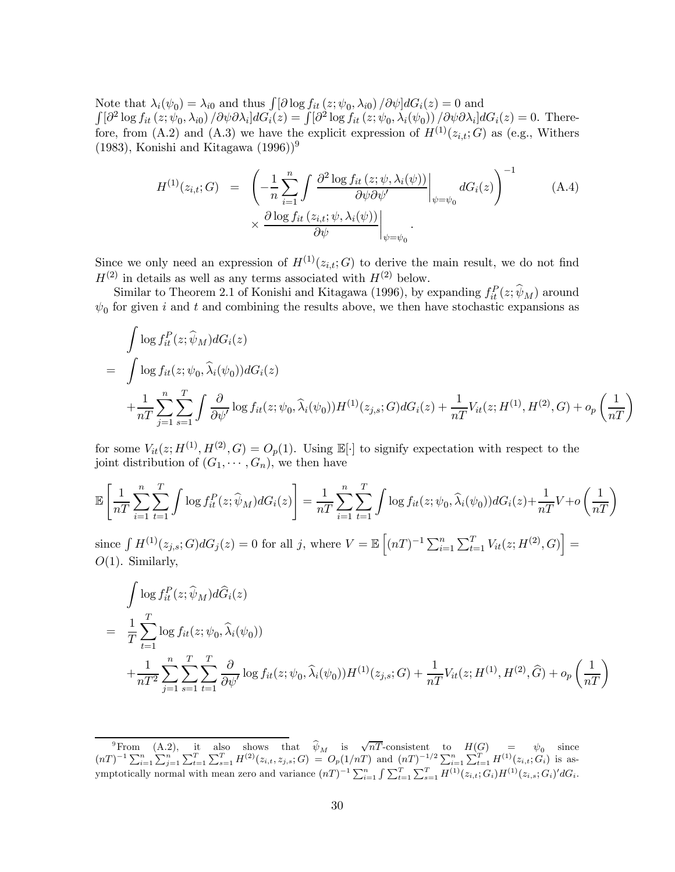Note that  $\lambda_i(\psi_0) = \lambda_{i0}$  and thus  $\int [\partial \log f_{it}(z; \psi_0, \lambda_{i0})/\partial \psi] dG_i(z) = 0$  and  $\int [\partial^2 \log f_{it}(z; \psi_0, \lambda_{i0}) / \partial \psi \partial \lambda_i] dG_i(z) = \int [\partial^2 \log f_{it}(z; \psi_0, \lambda_i(\psi_0)) / \partial \psi \partial \lambda_i] dG_i(z) = 0.$  Therefore, from (A.2) and (A.3) we have the explicit expression of  $H^{(1)}(z_{i,t}; G)$  as (e.g., Withers (1983), Konishi and Kitagawa  $(1996)^9$ 

$$
H^{(1)}(z_{i,t};G) = \left. \left( -\frac{1}{n} \sum_{i=1}^{n} \int \frac{\partial^2 \log f_{it}(z; \psi, \lambda_i(\psi))}{\partial \psi \partial \psi'} \bigg|_{\psi = \psi_0} dG_i(z) \right)^{-1} \qquad (A.4)
$$
  
 
$$
\times \left. \frac{\partial \log f_{it}(z_{i,t}; \psi, \lambda_i(\psi))}{\partial \psi} \bigg|_{\psi = \psi_0} .
$$

Since we only need an expression of  $H^{(1)}(z_i, t; G)$  to derive the main result, we do not find  $H^{(2)}$  in details as well as any terms associated with  $H^{(2)}$  below.

Similar to Theorem 2.1 of Konishi and Kitagawa (1996), by expanding  $f_{it}^P(z; \hat{\psi}_M)$  around  $\psi_0$  for given *i* and *t* and combining the results above, we then have stochastic expansions as

$$
\int \log f_{it}^{P}(z; \widehat{\psi}_{M}) dG_{i}(z)
$$
\n
$$
= \int \log f_{it}(z; \psi_{0}, \widehat{\lambda}_{i}(\psi_{0})) dG_{i}(z)
$$
\n
$$
+ \frac{1}{nT} \sum_{j=1}^{n} \sum_{s=1}^{T} \int \frac{\partial}{\partial \psi} \log f_{it}(z; \psi_{0}, \widehat{\lambda}_{i}(\psi_{0})) H^{(1)}(z_{j,s}; G) dG_{i}(z) + \frac{1}{nT} V_{it}(z; H^{(1)}, H^{(2)}, G) + o_{p} \left(\frac{1}{nT}\right)
$$

for some  $V_{it}(z; H^{(1)}, H^{(2)}, G) = O_p(1)$ . Using  $\mathbb{E}[\cdot]$  to signify expectation with respect to the joint distribution of  $(G_1, \dots, G_n)$ , we then have

$$
\mathbb{E}\left[\frac{1}{nT}\sum_{i=1}^{n}\sum_{t=1}^{T}\int \log f_{it}^{P}(z;\widehat{\psi}_{M})dG_{i}(z)\right] = \frac{1}{nT}\sum_{i=1}^{n}\sum_{t=1}^{T}\int \log f_{it}(z;\psi_{0},\widehat{\lambda}_{i}(\psi_{0}))dG_{i}(z) + \frac{1}{nT}V + o\left(\frac{1}{nT}\right)
$$

since  $\int H^{(1)}(z_{j,s};G)dG_j(z) = 0$  for all j, where  $V = \mathbb{E}\left[ (nT)^{-1} \sum_{i=1}^n \sum_{t=1}^T V_{it}(z;H^{(2)},G) \right] =$  $O(1)$ . Similarly,

$$
\int \log f_{it}^{P}(z; \hat{\psi}_{M}) d\hat{G}_{i}(z)
$$
\n
$$
= \frac{1}{T} \sum_{t=1}^{T} \log f_{it}(z; \psi_{0}, \hat{\lambda}_{i}(\psi_{0}))
$$
\n
$$
+ \frac{1}{nT^{2}} \sum_{j=1}^{n} \sum_{s=1}^{T} \sum_{t=1}^{T} \frac{\partial}{\partial \psi'} \log f_{it}(z; \psi_{0}, \hat{\lambda}_{i}(\psi_{0})) H^{(1)}(z_{j,s}; G) + \frac{1}{nT} V_{it}(z; H^{(1)}, H^{(2)}, \hat{G}) + o_{p} \left(\frac{1}{nT}\right)
$$

 $\widehat{\psi}_{M}^{9}$ From (A.2), it also shows that  $\widehat{\psi}_{M}$  is  $\sqrt{nT}$ -consistent to  $H(G) = \psi_{0}$  since  $(nT)^{-1} \sum_{i=1}^{n} \sum_{j=1}^{n} \sum_{t=1}^{T} \sum_{s=1}^{T} H^{(2)}(z_{i,t}, z_{j,s}; G) = O_p(1/nT)$  and  $(nT)^{-1/2} \sum_{i=1}^{n} \sum_{t=1}^{T} H^{(1)}(z_{i,t}; G_i)$  is asymptotically normal with mean zero and variance  $(nT)^{-1} \sum_{i=1}^{n} \int \sum_{t=1}^{T} \sum_{s=1}^{T} H^{(1)}(z_{i,t}; G_i) H^{(1)}(z_{i,s}; G_i)' dG_i$ .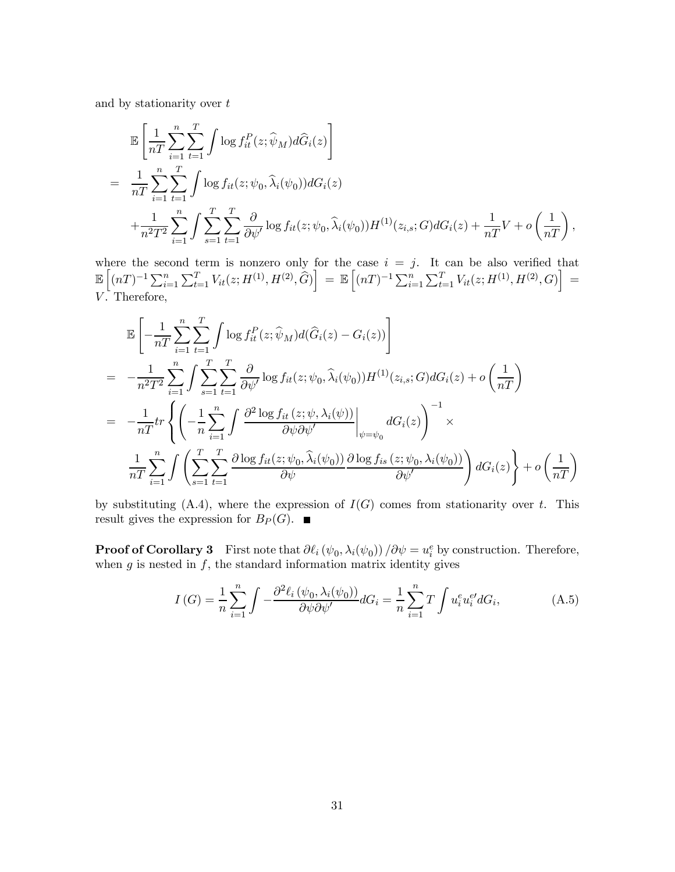and by stationarity over  $t$ 

$$
\mathbb{E}\left[\frac{1}{nT}\sum_{i=1}^{n}\sum_{t=1}^{T}\int \log f_{it}^{P}(z;\widehat{\psi}_{M})d\widehat{G}_{i}(z)\right]
$$
\n
$$
=\frac{1}{nT}\sum_{i=1}^{n}\sum_{t=1}^{T}\int \log f_{it}(z;\psi_{0},\widehat{\lambda}_{i}(\psi_{0}))dG_{i}(z)
$$
\n
$$
+\frac{1}{n^{2}T^{2}}\sum_{i=1}^{n}\int \sum_{s=1}^{T}\sum_{t=1}^{T}\frac{\partial}{\partial \psi'}\log f_{it}(z;\psi_{0},\widehat{\lambda}_{i}(\psi_{0}))H^{(1)}(z_{i,s};G)dG_{i}(z)+\frac{1}{nT}V+o\left(\frac{1}{nT}\right),
$$

where the second term is nonzero only for the case  $i = j$ . It can be also verified that  $\mathbb{E}\left[(nT)^{-1}\sum_{i=1}^n\sum_{t=1}^TV_{it}(z;H^{(1)},H^{(2)},\hat{G})\right]\;=\;\mathbb{E}\left[(nT)^{-1}\sum_{i=1}^n\sum_{t=1}^TV_{it}(z;H^{(1)},H^{(2)},G)\right]\;=\;$ V. Therefore,

$$
\mathbb{E}\left[-\frac{1}{nT}\sum_{i=1}^{n}\sum_{t=1}^{T}\int \log f_{it}^{P}(z;\widehat{\psi}_{M})d(\widehat{G}_{i}(z)-G_{i}(z))\right]
$$
\n
$$
=\ -\frac{1}{n^{2}T^{2}}\sum_{i=1}^{n}\int \sum_{s=1}^{T}\sum_{t=1}^{T}\frac{\partial}{\partial \psi'}\log f_{it}(z;\psi_{0},\widehat{\lambda}_{i}(\psi_{0}))H^{(1)}(z_{i,s};G)dG_{i}(z)+o\left(\frac{1}{nT}\right)
$$
\n
$$
=\ -\frac{1}{nT}tr\left\{\left(-\frac{1}{n}\sum_{i=1}^{n}\int \frac{\partial^{2}\log f_{it}(z;\psi,\lambda_{i}(\psi))}{\partial \psi\partial \psi'}\bigg|_{\psi=\psi_{0}}dG_{i}(z)\right)^{-1}\times\frac{1}{nT}\sum_{i=1}^{n}\int \left(\sum_{s=1}^{T}\sum_{t=1}^{T}\frac{\partial\log f_{it}(z;\psi_{0},\widehat{\lambda}_{i}(\psi_{0}))}{\partial \psi}\frac{\partial\log f_{is}(z;\psi_{0},\lambda_{i}(\psi_{0}))}{\partial \psi'}\right)dG_{i}(z)\right\}+o\left(\frac{1}{nT}\right)
$$

by substituting  $(A.4)$ , where the expression of  $I(G)$  comes from stationarity over t. This result gives the expression for  $B_P(G)$ .

**Proof of Corollary 3** First note that  $\partial \ell_i (\psi_0, \lambda_i(\psi_0)) / \partial \psi = u_i^e$  by construction. Therefore, when  $g$  is nested in  $f$ , the standard information matrix identity gives

$$
I\left(G\right) = \frac{1}{n} \sum_{i=1}^{n} \int -\frac{\partial^2 \ell_i \left(\psi_0, \lambda_i(\psi_0)\right)}{\partial \psi \partial \psi'} dG_i = \frac{1}{n} \sum_{i=1}^{n} T \int u_i^e u_i^{e'} dG_i,
$$
 (A.5)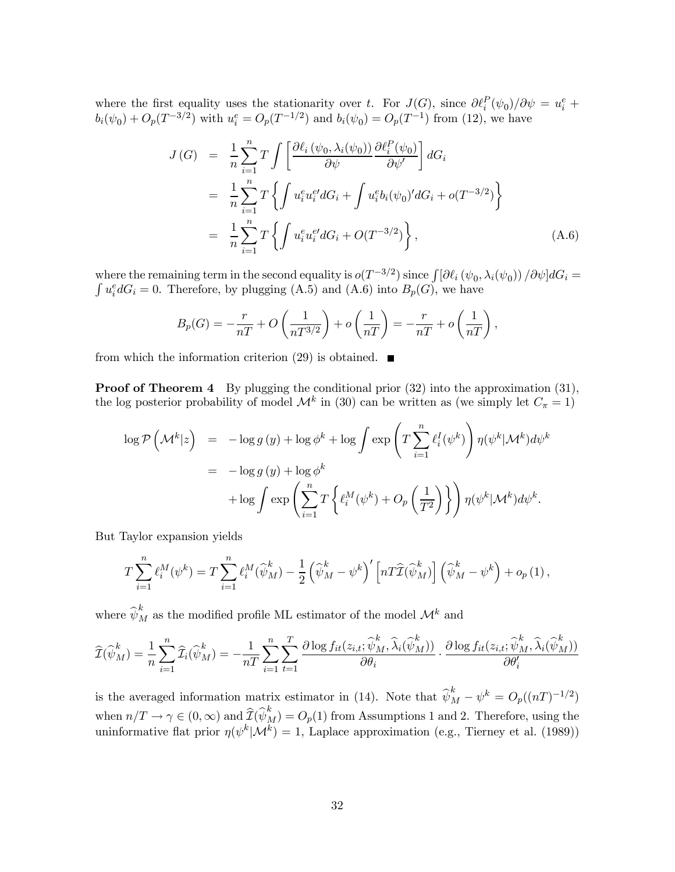where the first equality uses the stationarity over t. For  $J(G)$ , since  $\partial \ell_i^P(\psi_0)/\partial \psi = u_i^e +$  $b_i(\psi_0) + O_p(T^{-3/2})$  with  $u_i^e = O_p(T^{-1/2})$  and  $b_i(\psi_0) = O_p(T^{-1})$  from (12), we have

$$
J(G) = \frac{1}{n} \sum_{i=1}^{n} T \int \left[ \frac{\partial \ell_i (\psi_0, \lambda_i(\psi_0))}{\partial \psi} \frac{\partial \ell_i^P(\psi_0)}{\partial \psi'} \right] dG_i
$$
  
\n
$$
= \frac{1}{n} \sum_{i=1}^{n} T \left\{ \int u_i^e u_i^{e'} dG_i + \int u_i^e b_i(\psi_0)' dG_i + o(T^{-3/2}) \right\}
$$
  
\n
$$
= \frac{1}{n} \sum_{i=1}^{n} T \left\{ \int u_i^e u_i^{e'} dG_i + O(T^{-3/2}) \right\}, \tag{A.6}
$$

where the remaining term in the second equality is  $o(T^{-3/2})$  since  $\int [\partial \ell_i (\psi_0, \lambda_i(\psi_0)) / \partial \psi] dG_i =$  $\int u_i^e dG_i = 0$ . Therefore, by plugging  $(A.5)$  and  $(A.6)$  into  $B_p(G)$ , we have

$$
B_p(G) = -\frac{r}{nT} + O\left(\frac{1}{nT^{3/2}}\right) + o\left(\frac{1}{nT}\right) = -\frac{r}{nT} + o\left(\frac{1}{nT}\right),
$$

from which the information criterion (29) is obtained.  $\blacksquare$ 

**Proof of Theorem 4** By plugging the conditional prior  $(32)$  into the approximation  $(31)$ , the log posterior probability of model  $\mathcal{M}^k$  in (30) can be written as (we simply let  $C_{\pi} = 1$ )

$$
\log \mathcal{P}(\mathcal{M}^k|z) = -\log g(y) + \log \phi^k + \log \int \exp\left(T \sum_{i=1}^n \ell_i^I(\psi^k)\right) \eta(\psi^k|\mathcal{M}^k) d\psi^k
$$
  

$$
= -\log g(y) + \log \phi^k
$$
  

$$
+ \log \int \exp\left(\sum_{i=1}^n T\left\{\ell_i^M(\psi^k) + O_p\left(\frac{1}{T^2}\right)\right\}\right) \eta(\psi^k|\mathcal{M}^k) d\psi^k.
$$

But Taylor expansion yields

$$
T\sum_{i=1}^{n} \ell_i^M(\psi^k) = T\sum_{i=1}^{n} \ell_i^M(\widehat{\psi}_M^k) - \frac{1}{2} \left(\widehat{\psi}_M^k - \psi^k\right)' \left[nT\widehat{\mathcal{I}}(\widehat{\psi}_M^k)\right] \left(\widehat{\psi}_M^k - \psi^k\right) + o_p(1),
$$

where  $\widehat{\psi}_M^k$  as the modified profile ML estimator of the model  $\mathcal{M}^k$  and

$$
\widehat{\mathcal{I}}(\widehat{\psi}_{M}^{k}) = \frac{1}{n} \sum_{i=1}^{n} \widehat{\mathcal{I}}_{i}(\widehat{\psi}_{M}^{k}) = -\frac{1}{nT} \sum_{i=1}^{n} \sum_{t=1}^{T} \frac{\partial \log f_{it}(z_{i,t}; \widehat{\psi}_{M}^{k}, \widehat{\lambda}_{i}(\widehat{\psi}_{M}^{k}))}{\partial \theta_{i}} \cdot \frac{\partial \log f_{it}(z_{i,t}; \widehat{\psi}_{M}^{k}, \widehat{\lambda}_{i}(\widehat{\psi}_{M}^{k}))}{\partial \theta'_{i}}
$$

is the averaged information matrix estimator in (14). Note that  $\hat{\psi}_M^k - \psi^k = O_p((nT)^{-1/2})$ when  $n/T \to \gamma \in (0, \infty)$  and  $\widehat{\mathcal{I}}(\widehat{\psi}_{M}^{k}) = O_{p}(1)$  from Assumptions 1 and 2. Therefore, using the uninformative flat prior  $\eta(\psi^k|\mathcal{M}^k)=1$ , Laplace approximation (e.g., Tierney et al. (1989))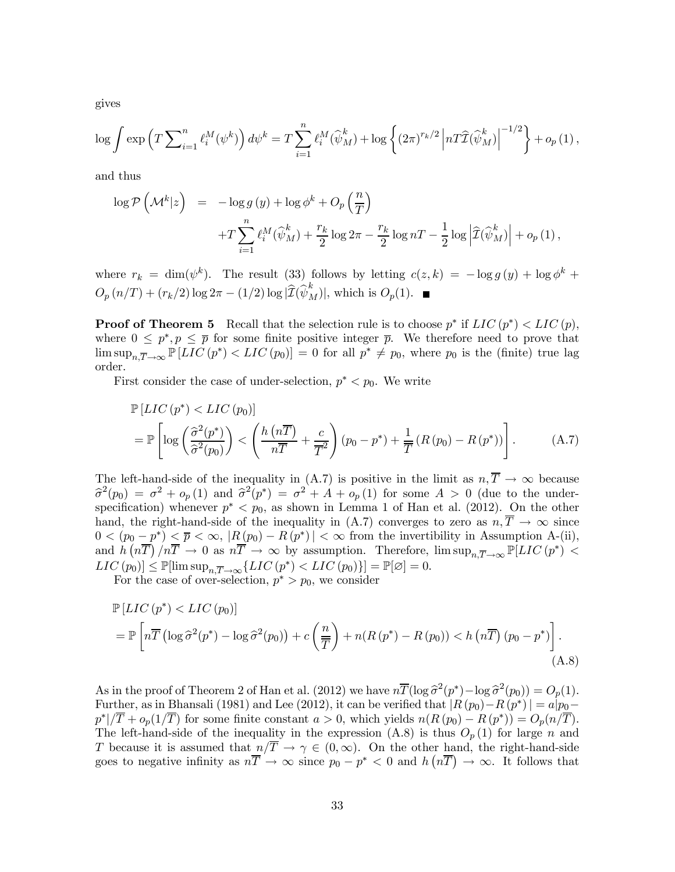gives

$$
\log \int \exp\left(T \sum_{i=1}^n \ell_i^M(\psi^k)\right) d\psi^k = T \sum_{i=1}^n \ell_i^M(\widehat{\psi}_M^k) + \log\left\{ (2\pi)^{r_k/2} \left| n \widehat{T} \widehat{\psi}_M^k \right| \right\}^{-1/2} \right\} + o_p(1),
$$

and thus

$$
\log \mathcal{P}\left(\mathcal{M}^k|z\right) = -\log g\left(y\right) + \log \phi^k + O_p\left(\frac{n}{T}\right) \n+ T \sum_{i=1}^n \ell_i^M(\widehat{\psi}_M^k) + \frac{r_k}{2} \log 2\pi - \frac{r_k}{2} \log nT - \frac{1}{2} \log \left|\widehat{\mathcal{I}}(\widehat{\psi}_M^k)\right| + o_p\left(1\right),
$$

where  $r_k = \dim(\psi^k)$ . The result (33) follows by letting  $c(z, k) = -\log g(y) + \log \phi^k$  +  $O_p(n/T) + (r_k/2) \log 2\pi - (1/2) \log |\widehat{I}(\widehat{\psi}_M^k)|$ , which is  $O_p(1)$ .

**Proof of Theorem 5** Recall that the selection rule is to choose  $p^*$  if  $LIC(p^*) < LIC(p)$ , where  $0 \leq p^*, p \leq \overline{p}$  for some finite positive integer  $\overline{p}$ . We therefore need to prove that  $\limsup_{n,\overline{T}\to\infty} \mathbb{P}[LIC(p^*) < LIC(p_0)] = 0$  for all  $p^* \neq p_0$ , where  $p_0$  is the (finite) true lag order.

First consider the case of under-selection,  $p^* < p_0$ . We write

$$
\mathbb{P}\left[LIC\left(p^*\right) < LIC\left(p_0\right)\right] \\
= \mathbb{P}\left[\log\left(\frac{\widehat{\sigma}^2(p^*)}{\widehat{\sigma}^2(p_0)}\right) < \left(\frac{h\left(n\overline{T}\right)}{n\overline{T}} + \frac{c}{\overline{T}^2}\right)\left(p_0 - p^*\right) + \frac{1}{\overline{T}}\left(R\left(p_0\right) - R\left(p^*\right)\right)\right].\n\tag{A.7}
$$

The left-hand-side of the inequality in  $(A.7)$  is positive in the limit as  $n, \overline{T} \to \infty$  because  $\hat{\sigma}^2(p_0) = \sigma^2 + o_p(1)$  and  $\hat{\sigma}^2(p^*) = \sigma^2 + A + o_p(1)$  for some  $A > 0$  (due to the underspecification) whenever  $p^* < p_0$ , as shown in Lemma 1 of Han et al. (2012). On the other hand, the right-hand-side of the inequality in (A.7) converges to zero as  $n, \overline{T} \to \infty$  since  $0 < (p_0 - p^*) \leq \overline{p} < \infty$ ,  $|R(p_0) - R(p^*)| < \infty$  from the invertibility in Assumption A-(ii), and  $\tilde{h}(\overline{nT})/\overline{nT} \to 0$  as  $\overline{nT} \to \infty$  by assumption. Therefore,  $\limsup_{n,\overline{T}\to\infty} \mathbb{P}[LIC(p^*)] <$  $LIC(p_0)] \leq \mathbb{P}[\limsup_{n,\overline{T}\to\infty} \{LIC(p^*) < LIC(p_0)\}] = \mathbb{P}[\varnothing] = 0.$ 

For the case of over-selection,  $p^* > p_0$ , we consider

$$
\mathbb{P}\left[LIC\left(p^*\right) < LIC\left(p_0\right)\right] \\
= \mathbb{P}\left[n\overline{T}\left(\log \widehat{\sigma}^2(p^*) - \log \widehat{\sigma}^2(p_0)\right) + c\left(\frac{n}{\overline{T}}\right) + n(R\left(p^*) - R\left(p_0\right)\right) < h\left(n\overline{T}\right)\left(p_0 - p^*\right)\right].\n\tag{A.8}
$$

As in the proof of Theorem 2 of Han et al. (2012) we have  $n\overline{T}(\log \hat{\sigma}^2(p^*) - \log \hat{\sigma}^2(p_0)) = O_p(1)$ . Further, as in Bhansali (1981) and Lee (2012), it can be verified that  $|R(p_0) - R(p^*)| = a|p_0$  $p^*|/\overline{T} + o_p(1/\overline{T})$  for some finite constant  $a > 0$ , which yields  $n(R(p_0) - R(p^*)) = O_p(n/\overline{T}).$ The left-hand-side of the inequality in the expression (A.8) is thus  $O_p(1)$  for large n and T because it is assumed that  $n/\overline{T} \to \gamma \in (0,\infty)$ . On the other hand, the right-hand-side goes to negative infinity as  $n\overline{T} \to \infty$  since  $p_0 - p^* < 0$  and  $h(n\overline{T}) \to \infty$ . It follows that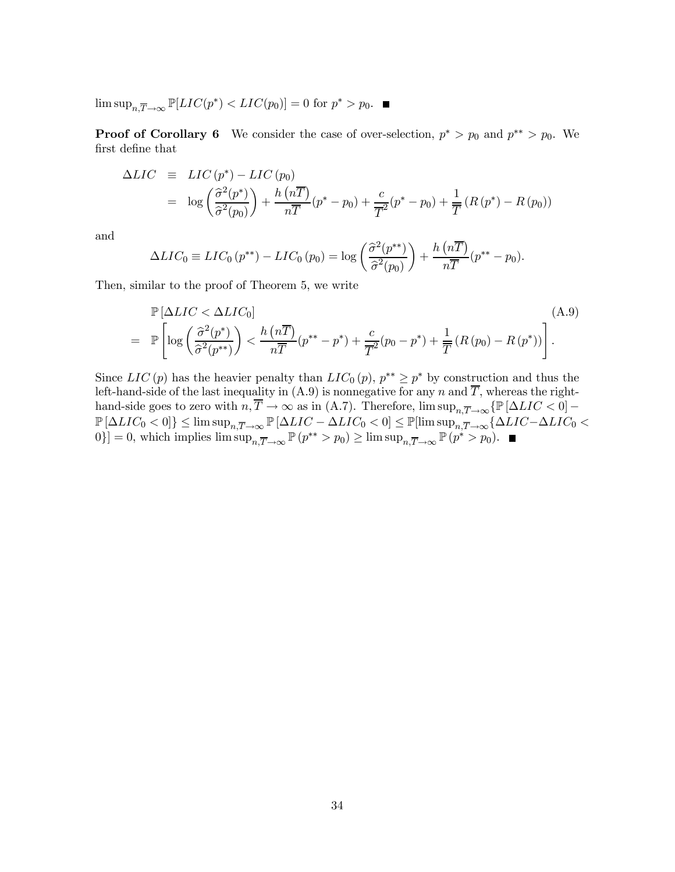lim sup<sub>n</sub> $\overline{T} \rightarrow \infty$   $\mathbb{P}[LIC(p^*) < LIC(p_0)] = 0$  for  $p^* > p_0$ . ■

**Proof of Corollary 6** We consider the case of over-selection,  $p^* > p_0$  and  $p^{**} > p_0$ . We first define that

$$
\Delta LIC \equiv LIC(p^*) - LIC(p_0)
$$
  
= 
$$
\log \left( \frac{\widehat{\sigma}^2(p^*)}{\widehat{\sigma}^2(p_0)} \right) + \frac{h (n\overline{T})}{n\overline{T}} (p^* - p_0) + \frac{c}{\overline{T}^2} (p^* - p_0) + \frac{1}{\overline{T}} (R(p^*) - R(p_0))
$$

and

$$
\Delta LIC_0 \equiv LIC_0(p^{**}) - LIC_0(p_0) = \log \left( \frac{\widehat{\sigma}^2(p^{**})}{\widehat{\sigma}^2(p_0)} \right) + \frac{h\left(n\overline{T}\right)}{n\overline{T}}(p^{**} - p_0).
$$

Then, similar to the proof of Theorem 5, we write

$$
\mathbb{P}\left[\Delta LIC < \Delta LIC_0\right] \tag{A.9}
$$
\n
$$
= \mathbb{P}\left[\log\left(\frac{\widehat{\sigma}^2(p^*)}{\widehat{\sigma}^2(p^{**})}\right) < \frac{h\left(n\overline{T}\right)}{n\overline{T}}(p^{**}-p^*) + \frac{c}{\overline{T}^2}(p_0-p^*) + \frac{1}{\overline{T}}\left(R\left(p_0\right) - R\left(p^*\right)\right)\right].
$$

Since  $LIC(p)$  has the heavier penalty than  $LIC_0(p)$ ,  $p^{**} \geq p^*$  by construction and thus the left-hand-side of the last inequality in (A.9) is nonnegative for any  $n$  and  $\overline{T}$ , whereas the righthand-side goes to zero with  $n, \overline{T} \to \infty$  as in (A.7). Therefore,  $\limsup_{n,\overline{T} \to \infty} {\mathbb P}[\Delta LIC < 0]$  $P[\Delta LIC_0 < 0]$ }  $\leq$  lim sup<sub>n</sub> $\overline{T} \rightarrow \infty$   $P[\Delta LIC - \Delta LIC_0 < 0]$   $\leq$   $P[\limsup_{n,\overline{T} \rightarrow \infty} {\Delta LIC - \Delta LIC_0} <$ 0}] = 0, which implies  $\limsup_{n,\overline{T}\to\infty} \mathbb{P}(p^{**} > p_0) \geq \limsup_{n,\overline{T}\to\infty} \mathbb{P}(p^{*} > p_0).$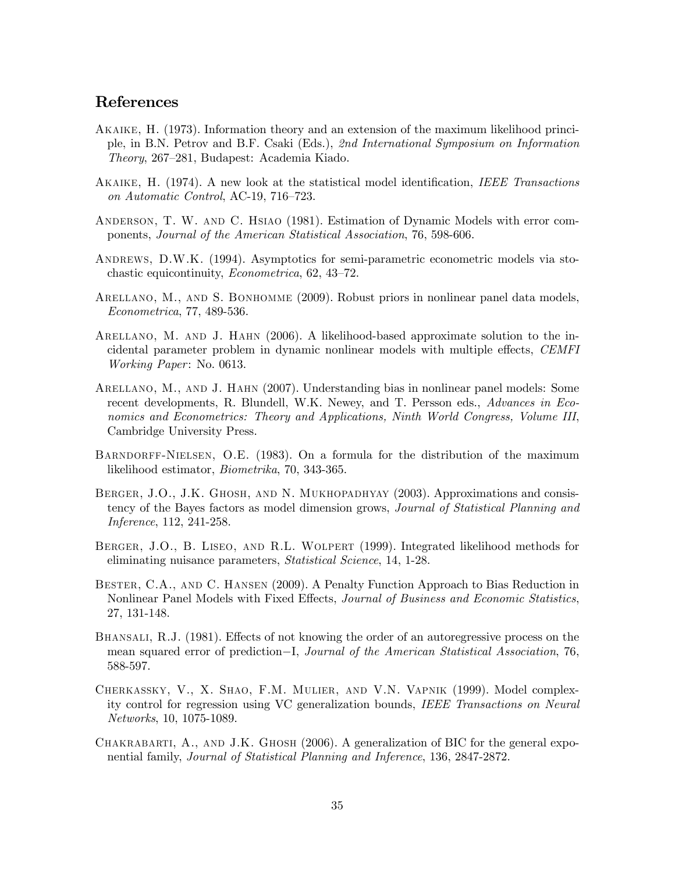### References

- Akaike, H. (1973). Information theory and an extension of the maximum likelihood principle, in B.N. Petrov and B.F. Csaki (Eds.), 2nd International Symposium on Information Theory, 267—281, Budapest: Academia Kiado.
- Akaike, H. (1974). A new look at the statistical model identification, IEEE Transactions on Automatic Control, AC-19, 716—723.
- Anderson, T. W. and C. Hsiao (1981). Estimation of Dynamic Models with error components, Journal of the American Statistical Association, 76, 598-606.
- ANDREWS, D.W.K. (1994). Asymptotics for semi-parametric econometric models via stochastic equicontinuity, Econometrica, 62, 43—72.
- ARELLANO, M., AND S. BONHOMME (2009). Robust priors in nonlinear panel data models, Econometrica, 77, 489-536.
- Arellano, M. and J. Hahn (2006). A likelihood-based approximate solution to the incidental parameter problem in dynamic nonlinear models with multiple effects, CEMFI Working Paper: No. 0613.
- Arellano, M., and J. Hahn (2007). Understanding bias in nonlinear panel models: Some recent developments, R. Blundell, W.K. Newey, and T. Persson eds., Advances in Economics and Econometrics: Theory and Applications, Ninth World Congress, Volume III, Cambridge University Press.
- BARNDORFF-NIELSEN, O.E. (1983). On a formula for the distribution of the maximum likelihood estimator, Biometrika, 70, 343-365.
- BERGER, J.O., J.K. GHOSH, AND N. MUKHOPADHYAY (2003). Approximations and consistency of the Bayes factors as model dimension grows, *Journal of Statistical Planning and* Inference, 112, 241-258.
- Berger, J.O., B. Liseo, and R.L. Wolpert (1999). Integrated likelihood methods for eliminating nuisance parameters, Statistical Science, 14, 1-28.
- Bester, C.A., and C. Hansen (2009). A Penalty Function Approach to Bias Reduction in Nonlinear Panel Models with Fixed Effects, Journal of Business and Economic Statistics, 27, 131-148.
- Bhansali, R.J. (1981). Effects of not knowing the order of an autoregressive process on the mean squared error of prediction−I, Journal of the American Statistical Association, 76, 588-597.
- Cherkassky, V., X. Shao, F.M. Mulier, and V.N. Vapnik (1999). Model complexity control for regression using VC generalization bounds, IEEE Transactions on Neural Networks, 10, 1075-1089.
- Chakrabarti, A., and J.K. Ghosh (2006). A generalization of BIC for the general exponential family, Journal of Statistical Planning and Inference, 136, 2847-2872.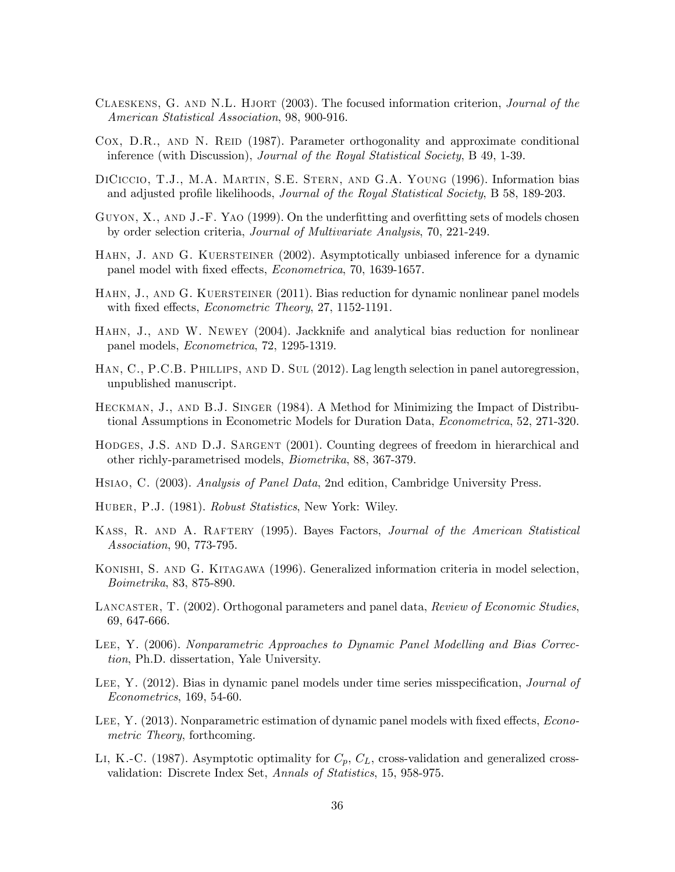- CLAESKENS, G. AND N.L. HJORT (2003). The focused information criterion, Journal of the American Statistical Association, 98, 900-916.
- Cox, D.R., AND N. REID (1987). Parameter orthogonality and approximate conditional inference (with Discussion), Journal of the Royal Statistical Society, B 49, 1-39.
- DiCiccio, T.J., M.A. Martin, S.E. Stern, and G.A. Young (1996). Information bias and adjusted profile likelihoods, *Journal of the Royal Statistical Society*, B 58, 189-203.
- GUYON, X., AND J.-F. YAO (1999). On the underfitting and overfitting sets of models chosen by order selection criteria, Journal of Multivariate Analysis, 70, 221-249.
- HAHN, J. AND G. KUERSTEINER (2002). Asymptotically unbiased inference for a dynamic panel model with fixed effects, Econometrica, 70, 1639-1657.
- HAHN, J., AND G. KUERSTEINER (2011). Bias reduction for dynamic nonlinear panel models with fixed effects, *Econometric Theory*, 27, 1152-1191.
- Hahn, J., and W. Newey (2004). Jackknife and analytical bias reduction for nonlinear panel models, Econometrica, 72, 1295-1319.
- Han, C., P.C.B. Phillips, and D. Sul (2012). Lag length selection in panel autoregression, unpublished manuscript.
- Heckman, J., and B.J. Singer (1984). A Method for Minimizing the Impact of Distributional Assumptions in Econometric Models for Duration Data, Econometrica, 52, 271-320.
- HODGES, J.S. AND D.J. SARGENT (2001). Counting degrees of freedom in hierarchical and other richly-parametrised models, Biometrika, 88, 367-379.
- Hsiao, C. (2003). Analysis of Panel Data, 2nd edition, Cambridge University Press.
- HUBER, P.J. (1981). Robust Statistics, New York: Wiley.
- Kass, R. and A. Raftery (1995). Bayes Factors, Journal of the American Statistical Association, 90, 773-795.
- Konishi, S. and G. Kitagawa (1996). Generalized information criteria in model selection, Boimetrika, 83, 875-890.
- LANCASTER, T. (2002). Orthogonal parameters and panel data, Review of Economic Studies, 69, 647-666.
- Lee, Y. (2006). Nonparametric Approaches to Dynamic Panel Modelling and Bias Correction, Ph.D. dissertation, Yale University.
- LEE, Y. (2012). Bias in dynamic panel models under time series misspecification, *Journal of* Econometrics, 169, 54-60.
- LEE, Y. (2013). Nonparametric estimation of dynamic panel models with fixed effects, *Econo*metric Theory, forthcoming.
- LI, K.-C. (1987). Asymptotic optimality for  $C_p$ ,  $C_L$ , cross-validation and generalized crossvalidation: Discrete Index Set, Annals of Statistics, 15, 958-975.